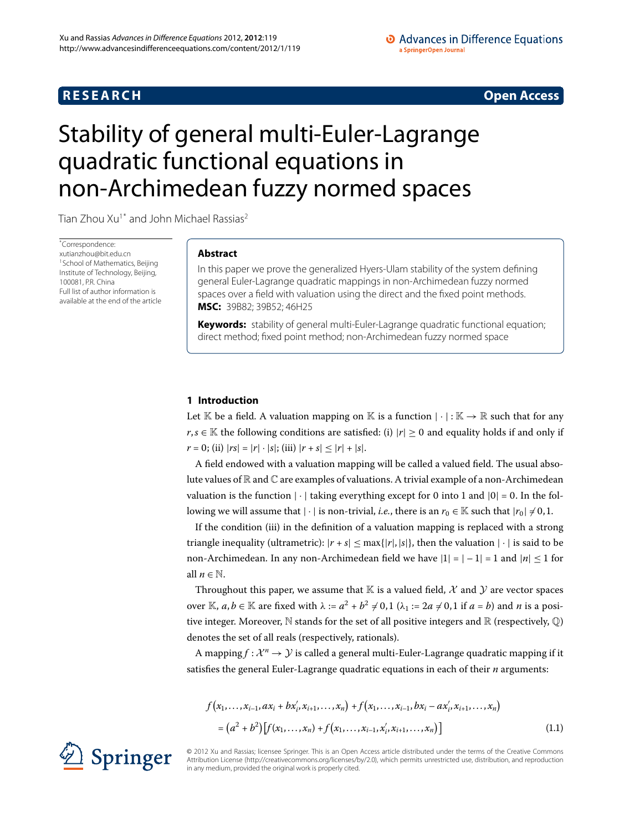## **R E S E A R C H Open Access**

### • Advances in Difference Equations a SpringerOpen Journal

# <span id="page-0-0"></span>Stability of general multi-Euler-Lagrange quadratic functional equations in non-Archimedean fuzzy normed spaces

Tian Zhou Xu<sup>[1](#page-17-0)[\\*](#page-0-0)</sup> and John Michael Rassias<sup>2</sup>

\* Correspondence: [xutianzhou@bit.edu.cn](mailto:xutianzhou@bit.edu.cn) <sup>1</sup> School of Mathematics, Beijing Institute of Technology, Beijing, 100081, P.R. China Full list of author information is available at the end of the article

## **Abstract**

In this paper we prove the generalized Hyers-Ulam stability of the system defining general Euler-Lagrange quadratic mappings in non-Archimedean fuzzy normed spaces over a field with valuation using the direct and the fixed point methods. **MSC:** 39B82; 39B52; 46H25

**Keywords:** stability of general multi-Euler-Lagrange quadratic functional equation; direct method; fixed point method; non-Archimedean fuzzy normed space

## **1 Introduction**

Let K be a field. A valuation mapping on K is a function  $|\cdot|: K \to \mathbb{R}$  such that for any *r*,*s* ∈ K the following conditions are satisfied: (i)  $|r|$  ≥ 0 and equality holds if and only if  $r = 0$ ; (ii)  $|rs| = |r| \cdot |s|$ ; (iii)  $|r + s| \le |r| + |s|$ .

A field endowed with a valuation mapping will be called a valued field. The usual absolute values of  $\mathbb R$  and  $\mathbb C$  are examples of valuations. A trivial example of a non-Archimedean valuation is the function  $|\cdot|$  taking everything except for 0 into 1 and  $|0| = 0$ . In the following we will assume that  $|\cdot|$  is non-trivial, *i.e.*, there is an  $r_0 \in \mathbb{K}$  such that  $|r_0| \neq 0,1$ .

If the condition (iii) in the definition of a valuation mapping is replaced with a strong triangle inequality (ultrametric):  $|r + s| \leq \max\{|r|, |s|\}$ , then the valuation  $|\cdot|$  is said to be non-Archimedean. In any non-Archimedean field we have  $|1| = |-1| = 1$  and  $|n| \le 1$  for all  $n \in \mathbb{N}$ .

<span id="page-0-1"></span>Throughout this paper, we assume that  $\mathbb K$  is a valued field, X and Y are vector spaces over K,  $a, b \in \mathbb{K}$  are fixed with  $\lambda := a^2 + b^2 \neq 0, 1$  ( $\lambda_1 := 2a \neq 0, 1$  if  $a = b$ ) and *n* is a positive integer. Moreover,  $\mathbb N$  stands for the set of all positive integers and  $\mathbb R$  (respectively,  $\mathbb Q$ ) denotes the set of all reals (respectively, rationals).

A mapping  $f: \mathcal{X}^n \to \mathcal{Y}$  is called a general multi-Euler-Lagrange quadratic mapping if it satisfies the general Euler-Lagrange quadratic equations in each of their *n* arguments:

$$
f(x_1,...,x_{i-1},ax_i+bx'_i,x_{i+1},...,x_n)+f(x_1,...,x_{i-1},bx_i-ax'_i,x_{i+1},...,x_n)
$$
  
=  $(a^2+b^2)[f(x_1,...,x_n)+f(x_1,...,x_{i-1},x'_i,x_{i+1},...,x_n)]$  (1.1)

© 2012 Xu and Rassias; licensee Springer. This is an Open Access article distributed under the terms of the Creative Commons Attribution License [\(http://creativecommons.org/licenses/by/2.0](http://creativecommons.org/licenses/by/2.0)), which permits unrestricted use, distribution, and reproduction in any medium, provided the original work is properly cited.

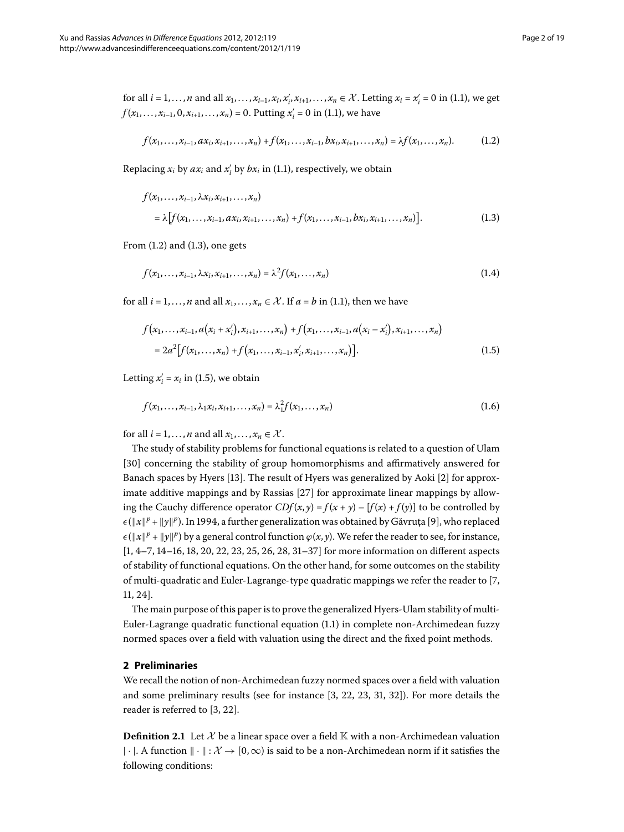<span id="page-1-1"></span>for all 
$$
i = 1, ..., n
$$
 and all  $x_1, ..., x_{i-1}, x_i, x'_i, x_{i+1}, ..., x_n \in \mathcal{X}$ . Letting  $x_i = x'_i = 0$  in (1.1), we get  $f(x_1, ..., x_{i-1}, 0, x_{i+1}, ..., x_n) = 0$ . Putting  $x'_i = 0$  in (1.1), we have

<span id="page-1-0"></span>
$$
f(x_1,...,x_{i-1},ax_i,x_{i+1},...,x_n)+f(x_1,...,x_{i-1},bx_i,x_{i+1},...,x_n)=\lambda f(x_1,...,x_n). \hspace{1cm} (1.2)
$$

Replacing  $x_i$  by  $ax_i$  and  $x'_i$  by  $bx_i$  in (1.1), respectively, we obtain

<span id="page-1-3"></span>
$$
f(x_1,...,x_{i-1},\lambda x_i, x_{i+1},...,x_n)
$$
  
=  $\lambda \left[ f(x_1,...,x_{i-1},ax_i,x_{i+1},...,x_n) + f(x_1,...,x_{i-1},bx_i,x_{i+1},...,x_n) \right].$  (1.3)

<span id="page-1-2"></span>From  $(1.2)$  and  $(1.3)$ , one gets

$$
f(x_1, ..., x_{i-1}, \lambda x_i, x_{i+1}, ..., x_n) = \lambda^2 f(x_1, ..., x_n)
$$
\n(1.4)

for all  $i = 1, ..., n$  and all  $x_1, ..., x_n \in \mathcal{X}$ . If  $a = b$  in (1.1), then we have

$$
f(x_1,...,x_{i-1},a(x_i+x'_i),x_{i+1},...,x_n)+f(x_1,...,x_{i-1},a(x_i-x'_i),x_{i+1},...,x_n)
$$
  
=  $2a^2[f(x_1,...,x_n)+f(x_1,...,x_{i-1},x'_i,x_{i+1},...,x_n)].$  (1.5)

Letting  $x'_i = x_i$  in (1.5), we obtain

$$
f(x_1, \ldots, x_{i-1}, \lambda_1 x_i, x_{i+1}, \ldots, x_n) = \lambda_1^2 f(x_1, \ldots, x_n)
$$
\n(1.6)

for all  $i = 1, ..., n$  and all  $x_1, ..., x_n \in \mathcal{X}$ .

The study of stability problems for functional equations is related to a question of Ulam [30] concerning the stability of group homomorphisms and affirmatively answered for Banach spaces by Hyers [13[\]](#page-17-4). The result of Hyers was generalized by Aoki [2] for approximate additive mappings and by Rassias  $[27]$  for approximate linear mappings by allowing the Cauchy difference operator  $CDf(x, y) = f(x + y) - [f(x) + f(y)]$  to be controlled by  $\epsilon(\|x\|^p + \|y\|^p)$ . In 1994, a further generalization was obtained by Găvruța [\[](#page-17-6)9], who replaced  $\epsilon(||x||^p + ||y||^p)$  by a general control function  $\varphi(x, y)$ . We refer the reader to see, for instance,  $[1, 4-7, 14-16, 18, 20, 22, 23, 25, 26, 28, 31-37]$  $[1, 4-7, 14-16, 18, 20, 22, 23, 25, 26, 28, 31-37]$  $[1, 4-7, 14-16, 18, 20, 22, 23, 25, 26, 28, 31-37]$  for more information on different aspects of stability of functional equations. On the other hand, for some outcomes on the stability of multi-quadratic and Euler-Lagrange-type quadratic mappings we refer the reader to [\[](#page-17-9)7,  $11, 24$  $11, 24$  $11, 24$ .

The main purpose of this paper is to prove the generalized Hyers-Ulam stability of multi-Euler-Lagrange quadratic functional equation (1.1) in complete non-Archimedean fuzzy normed spaces over a field with valuation using the direct and the fixed point methods.

## **2 Preliminaries**

We recall the notion of non-Archimedean fuzzy normed spaces over a field with valuation and some preliminary results (see for instance  $[3, 22, 23, 31, 32]$  $[3, 22, 23, 31, 32]$  $[3, 22, 23, 31, 32]$ ). For more details the reader is referred to  $[3, 22]$  $[3, 22]$  $[3, 22]$ .

**Definition 2.1** Let  $\mathcal{X}$  be a linear space over a field  $\mathbb{K}$  with a non-Archimedean valuation  $|\cdot|$ . A function  $\|\cdot\|$ :  $\mathcal{X} \to [0,\infty)$  is said to be a non-Archimedean norm if it satisfies the following conditions: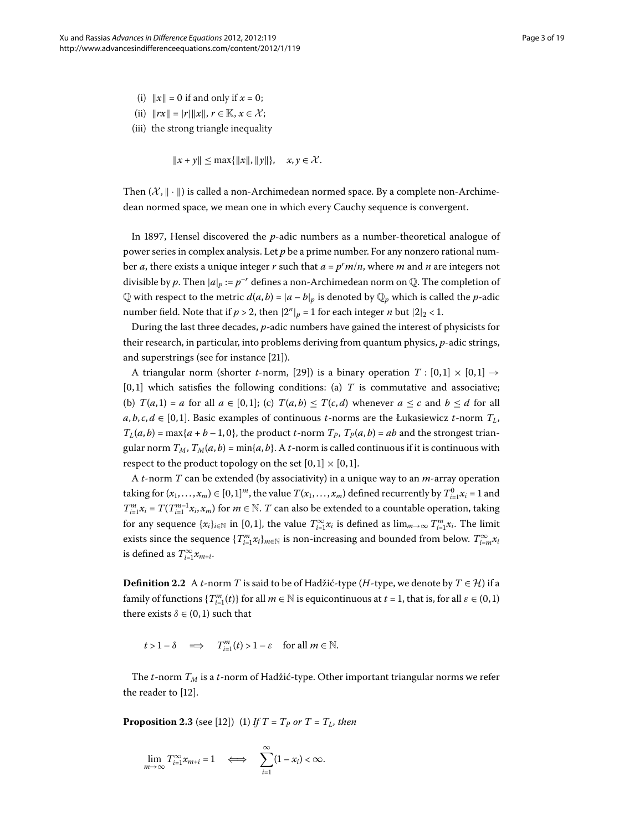- (i)  $\|x\| = 0$  if and only if  $x = 0$ ;
- (ii)  $\|rx\| = |r| \|x\|, r \in \mathbb{K}, x \in \mathcal{X}$ ;
- (iii) the strong triangle inequality

 $||x + y|| \leq \max{||x||, ||y||}, \quad x, y \in \mathcal{X}.$ 

Then  $(\mathcal{X}, \|\cdot\|)$  is called a non-Archimedean normed space. By a complete non-Archimedean normed space, we mean one in which every Cauchy sequence is convergent.

In 1897, Hensel discovered the  $p$ -adic numbers as a number-theoretical analogue of power series in complex analysis. Let *p* be a prime number. For any nonzero rational number *a*, there exists a unique integer *r* such that *a* = *pr m*/*n*, where *m* and *n* are integers not divisible by p. Then  $|a|_p := p^{-r}$  defines a non-Archimedean norm on  $\mathbb{Q}$ . The completion of  $\mathbb Q$  with respect to the metric  $d(a, b) = |a - b|_p$  is denoted by  $\mathbb Q_p$  which is called the *p*-adic number field. Note that if  $p > 2$ , then  $|2^n|_p = 1$  for each integer *n* but  $|2|_2 < 1$ .

During the last three decades, *p*-adic numbers have gained the interest of physicists for their research, in particular, into problems deriving from quantum physics, *p*-adic strings, and superstrings (see for instance  $[21]$  $[21]$ ).

A triangular norm (shorter *t*-norm, [29[\]](#page-17-25)) is a binary operation  $T : [0,1] \times [0,1] \rightarrow$  $[0, 1]$  which satisfies the following conditions: (a)  $T$  is commutative and associative; (b)  $T(a, 1) = a$  for all  $a \in [0, 1]$ ; (c)  $T(a, b) \leq T(c, d)$  whenever  $a \leq c$  and  $b \leq d$  for all  $a, b, c, d \in [0, 1]$ . Basic examples of continuous *t*-norms are the Łukasiewicz *t*-norm  $T_L$ ,  $T_L(a, b) = \max\{a + b - 1, 0\}$ , the product *t*-norm  $T_P$ ,  $T_P(a, b) = ab$  and the strongest triangular norm  $T_M$ ,  $T_M(a, b) = \min\{a, b\}$ . A *t*-norm is called continuous if it is continuous with respect to the product topology on the set  $[0, 1] \times [0, 1]$ .

A *t*-norm *T* can be extended (by associativity) in a unique way to an *m*-array operation taking for  $(x_1,...,x_m) \in [0,1]^m$ , the value  $T(x_1,...,x_m)$  defined recurrently by  $T_{i=1}^0 x_i = 1$  and  $T_{i=1}^m x_i = T(T_{i=1}^{m-1} x_i, x_m)$  for  $m \in \mathbb{N}$ . *T* can also be extended to a countable operation, taking for any sequence  $\{x_i\}_{i \in \mathbb{N}}$  in [0,1], the value  $T_{i=1}^{\infty} x_i$  is defined as  $\lim_{m\to\infty} T_{i=1}^m x_i$ . The limit exists since the sequence  $\{T^m_{i=1}x_i\}_{m\in\mathbb{N}}$  is non-increasing and bounded from below.  $T^{\infty}_{i=m}x_i$ is defined as  $T^{\infty}_{i=1}x_{m+i}$ .

**Definition 2.2** A *t*-norm *T* is said to be of Hadžić-type (*H*-type, we denote by  $T \in \mathcal{H}$ ) if a family of functions  $\{T_{i=1}^m(t)\}$  for all  $m \in \mathbb{N}$  is equicontinuous at  $t = 1$ , that is, for all  $\varepsilon \in (0,1)$ there exists  $\delta \in (0, 1)$  such that

 $t > 1 - \delta \implies T_{i=1}^m(t) > 1 - \varepsilon \text{ for all } m \in \mathbb{N}.$ 

The *t*-norm *TM* is a *t*-norm of Hadžić-type. Other important triangular norms we refer the reader to [\[](#page-17-26)12].

**Proposition 2.3** (see [\[](#page-17-26)12]) (1) If  $T = T_p$  or  $T = T_L$ , then

$$
\lim_{m\to\infty} T_{i=1}^{\infty} x_{m+i} = 1 \quad \Longleftrightarrow \quad \sum_{i=1}^{\infty} (1-x_i) < \infty.
$$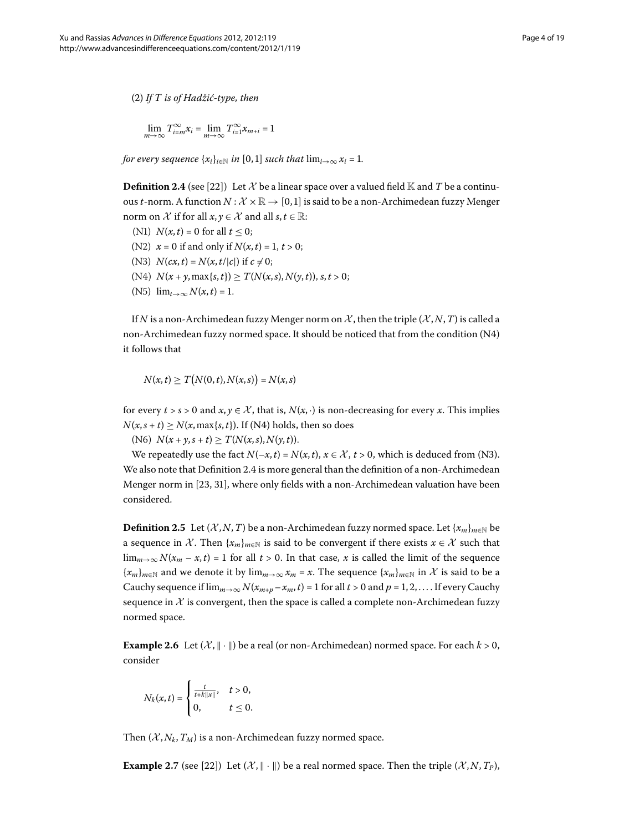() *If T is of Hadžić-type, then*

$$
\lim_{m \to \infty} T^{\infty}_{i=m} x_i = \lim_{m \to \infty} T^{\infty}_{i=1} x_{m+i} = 1
$$

*for every sequence*  $\{x_i\}_{i \in \mathbb{N}}$  *in* [0,1] *such that*  $\lim_{i \to \infty} x_i = 1$ *.* 

**Definition 2.4** (see [\[](#page-17-14)22]) Let X be a linear space over a valued field K and T be a continuous *t*-norm. A function  $N: \mathcal{X} \times \mathbb{R} \to [0, 1]$  is said to be a non-Archimedean fuzzy Menger norm on  $\mathcal X$  if for all  $x, y \in \mathcal X$  and all  $s, t \in \mathbb R$ :

- (N1)  $N(x,t) = 0$  for all  $t < 0$ ;
- (N2)  $x = 0$  if and only if  $N(x, t) = 1, t > 0$ ;
- (N3)  $N(cx, t) = N(x, t/|c|)$  if  $c \neq 0$ ;
- $(N4)$   $N(x + y, \max\{s, t\}) \geq T(N(x, s), N(y, t)), s, t > 0;$
- (N5)  $\lim_{t\to\infty} N(x,t) = 1$ .

If *N* is a non-Archimedean fuzzy Menger norm on  $\mathcal{X}$ , then the triple  $(\mathcal{X}, N, T)$  is called a non-Archimedean fuzzy normed space. It should be noticed that from the condition (N4) it follows that

$$
N(x,t) \geq T(N(0,t),N(x,s)) = N(x,s)
$$

for every  $t > s > 0$  and  $x, y \in \mathcal{X}$ , that is,  $N(x, \cdot)$  is non-decreasing for every x. This implies  $N(x, s + t) \geq N(x, \max\{s, t\})$ . If (N4) holds, then so does

(N6)  $N(x + y, s + t) \geq T(N(x, s), N(y, t)).$ 

We repeatedly use the fact  $N(-x,t) = N(x,t)$ ,  $x \in \mathcal{X}$ ,  $t > 0$ , which is deduced from (N3). We also note that Definition 2.4 is more general than the definition of a non-Archimedean Menger norm in [\[](#page-17-15)23, 31[\]](#page-17-19), where only fields with a non-Archimedean valuation have been considered.

<span id="page-3-0"></span>**Definition 2.5** Let (*X*, *N*, *T*) be a non-Archimedean fuzzy normed space. Let { $x_m$ }<sub>*m*∈N</sub> be a sequence in X. Then  $\{x_m\}_{m\in\mathbb{N}}$  is said to be convergent if there exists  $x \in \mathcal{X}$  such that lim<sub>*m*→∞</sub> *N*( $x_m$  –  $x$ ,  $t$ ) = 1 for all  $t > 0$ . In that case,  $x$  is called the limit of the sequence  ${x_m}_{m \in \mathbb{N}}$  and we denote it by  $\lim_{m \to \infty} x_m = x$ . The sequence  ${x_m}_{m \in \mathbb{N}}$  in X is said to be a Cauchy sequence if  $\lim_{m\to\infty} N(x_{m+p}-x_m,t) = 1$  for all  $t > 0$  and  $p = 1, 2, \ldots$  If every Cauchy sequence in  $X$  is convergent, then the space is called a complete non-Archimedean fuzzy normed space.

**Example 2.6** Let  $(X, \|\cdot\|)$  be a real (or non-Archimedean) normed space. For each  $k > 0$ , consider

$$
N_k(x,t) = \begin{cases} \frac{t}{t+k\|x\|}, & t > 0, \\ 0, & t \leq 0. \end{cases}
$$

Then  $(X, N_k, T_M)$  is a non-Archimedean fuzzy normed space.

**Example 2.7** (see [\[](#page-17-14)22]) Let  $(\mathcal{X}, \|\cdot\|)$  be a real normed space. Then the triple  $(\mathcal{X}, N, T_p)$ ,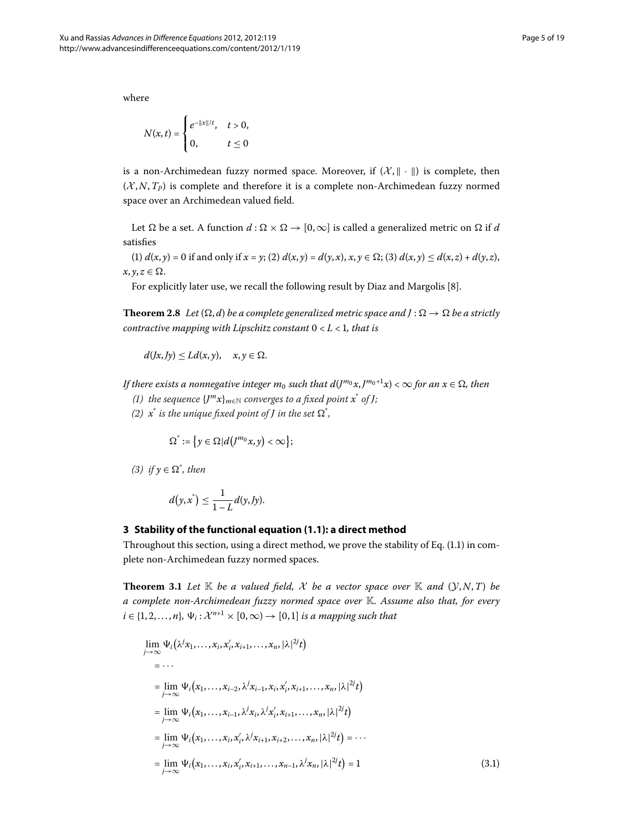where

$$
N(x,t) = \begin{cases} e^{-\|x\|/t}, & t > 0, \\ 0, & t \le 0 \end{cases}
$$

is a non-Archimedean fuzzy normed space. Moreover, if  $(\mathcal{X}, \|\cdot\|)$  is complete, then  $(X, N, T_P)$  is complete and therefore it is a complete non-Archimedean fuzzy normed space over an Archimedean valued field.

<span id="page-4-2"></span>Let  $\Omega$  be a set. A function  $d : \Omega \times \Omega \to [0,\infty]$  is called a generalized metric on  $\Omega$  if d satisfies

(1)  $d(x, y) = 0$  if and only if  $x = y$ ; (2)  $d(x, y) = d(y, x)$ ,  $x, y \in \Omega$ ; (3)  $d(x, y) \leq d(x, z) + d(y, z)$ ,  $x, y, z \in \Omega$ .

For explicitly later use, we recall the following result by Diaz and Margolis [\[](#page-17-27)8].

**Theorem 2.8** Let  $(\Omega, d)$  be a complete generalized metric space and  $J : \Omega \to \Omega$  be a strictly *contractive mapping with Lipschitz constant*  $0 < L < 1$ *, that is* 

 $d(Jx, Jy) \le Ld(x, y), \quad x, y \in \Omega.$ 

*If there exists a nonnegative integer*  $m_0$  *such that*  $d(J^{m_0}x, J^{m_0+1}x) < \infty$  *for an*  $x \in \Omega$ *, then* 

- *(1)* the sequence  ${J^m x}_{m \in \mathbb{N}}$  converges to a fixed point  $x^*$  of *J*;
- *(2)*  $x^*$  *is the unique fixed point of J in the set*  $\Omega^*$ ,

$$
\Omega^* := \left\{ y \in \Omega \middle| d\left(J^{m_0} x, y\right) < \infty \right\};
$$

<span id="page-4-1"></span> $(3)$  *if*  $y \in \Omega^*$ *, then* 

$$
d(y,x^*)\leq \frac{1}{1-L}d(y, Jy).
$$

## **3 Stability of the functional equation ([1.1\)](#page-0-1): a direct method**

<span id="page-4-0"></span>Throughout this section, using a direct method, we prove the stability of Eq[.](#page-0-1)  $(1.1)$  in complete non-Archimedean fuzzy normed spaces.

**Theorem 3.1** Let  $\mathbb{K}$  be a valued field, X be a vector space over  $\mathbb{K}$  and  $(\mathcal{Y}, N, T)$  be *a complete non-Archimedean fuzzy normed space over* K*. Assume also that, for every*  $i \in \{1, 2, \ldots, n\}, \Psi_i: \mathcal{X}^{n+1} \times [0, \infty) \to [0, 1]$  *is a mapping such that* 

$$
\lim_{j \to \infty} \Psi_i(\lambda^j x_1, ..., x_i, x'_i, x_{i+1}, ..., x_n, |\lambda|^{2j} t)
$$
\n
$$
= ...
$$
\n
$$
= \lim_{j \to \infty} \Psi_i(x_1, ..., x_{i-2}, \lambda^j x_{i-1}, x_i, x'_i, x_{i+1}, ..., x_n, |\lambda|^{2j} t)
$$
\n
$$
= \lim_{j \to \infty} \Psi_i(x_1, ..., x_{i-1}, \lambda^j x_i, \lambda^j x'_i, x_{i+1}, ..., x_n, |\lambda|^{2j} t)
$$
\n
$$
= \lim_{j \to \infty} \Psi_i(x_1, ..., x_i, x'_i, \lambda^j x_{i+1}, x_{i+2}, ..., x_n, |\lambda|^{2j} t) = ...
$$
\n
$$
= \lim_{j \to \infty} \Psi_i(x_1, ..., x_i, x'_i, x_{i+1}, ..., x_{n-1}, \lambda^j x_n, |\lambda|^{2j} t) = 1
$$
\n(3.1)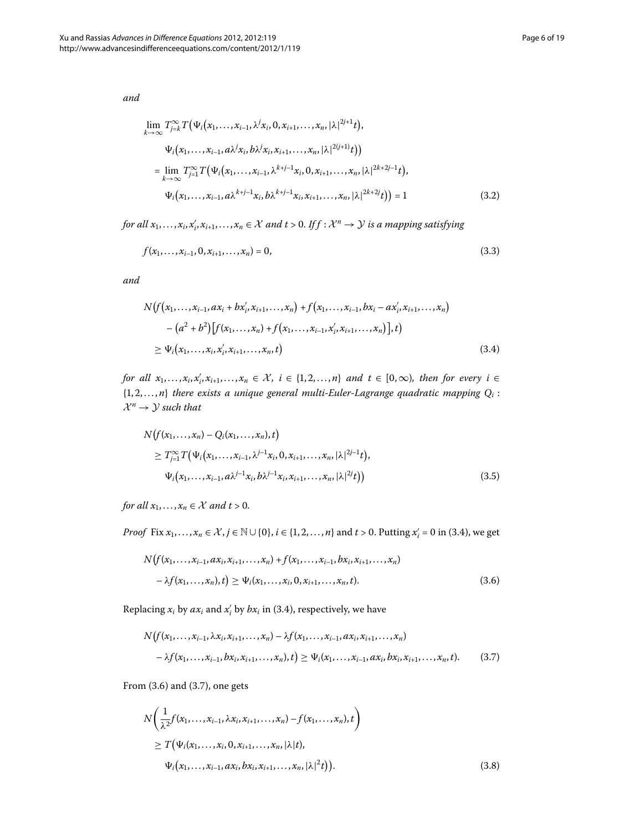<span id="page-5-3"></span>*and*

<span id="page-5-5"></span>
$$
\lim_{k \to \infty} T_{j=k}^{\infty} T(\Psi_i(x_1, \dots, x_{i-1}, \lambda^j x_i, 0, x_{i+1}, \dots, x_n, |\lambda|^{2j+1} t),
$$
\n
$$
\Psi_i(x_1, \dots, x_{i-1}, a\lambda^j x_i, b\lambda^j x_i, x_{i+1}, \dots, x_n, |\lambda|^{2(j+1)} t))
$$
\n
$$
= \lim_{k \to \infty} T_{j=1}^{\infty} T(\Psi_i(x_1, \dots, x_{i-1}, \lambda^{k+j-1} x_i, 0, x_{i+1}, \dots, x_n, |\lambda|^{2k+2j-1} t),
$$
\n
$$
\Psi_i(x_1, \dots, x_{i-1}, a\lambda^{k+j-1} x_i, b\lambda^{k+j-1} x_i, x_{i+1}, \dots, x_n, |\lambda|^{2k+2j} t)) = 1
$$
\n(3.2)

<span id="page-5-0"></span>*for all*  $x_1, \ldots, x_i, x'_i, x_{i+1}, \ldots, x_n \in \mathcal{X}$  and  $t > 0$ . If  $f : \mathcal{X}^n \to \mathcal{Y}$  is a mapping satisfying

$$
f(x_1, \ldots, x_{i-1}, 0, x_{i+1}, \ldots, x_n) = 0,\tag{3.3}
$$

*and*

$$
N(f(x_1,...,x_{i-1},ax_i+bx'_i,x_{i+1},...,x_n)+f(x_1,...,x_{i-1},bx_i-ax'_i,x_{i+1},...,x_n)
$$
  
\n
$$
-(a^2+b^2)[f(x_1,...,x_n)+f(x_1,...,x_{i-1},x'_i,x_{i+1},...,x_n)],t)
$$
  
\n
$$
\geq \Psi_i(x_1,...,x_i,x'_i,x_{i+1},...,x_n,t)
$$
\n(3.4)

<span id="page-5-4"></span>*for all*  $x_1, \ldots, x_i, x'_i, x_{i+1}, \ldots, x_n \in \mathcal{X}, i \in \{1, 2, \ldots, n\}$  and  $t \in [0, \infty)$ , then for every  $i \in$  $\{1, 2, \ldots, n\}$  *there exists a unique general multi-Euler-Lagrange quadratic mapping*  $Q_i$ :  $\mathcal{X}^n \rightarrow \mathcal{Y}$  such that

$$
N(f(x_1,...,x_n) - Q_i(x_1,...,x_n), t)
$$
  
\n
$$
\geq T_{j=1}^{\infty} T(\Psi_i(x_1,...,x_{i-1}, \lambda^{j-1}x_i, 0, x_{i+1},...,x_n, |\lambda|^{2j-1}t),
$$
  
\n
$$
\Psi_i(x_1,...,x_{i-1}, a\lambda^{j-1}x_i, b\lambda^{j-1}x_i, x_{i+1},...,x_n, |\lambda|^{2j}t))
$$
\n(3.5)

<span id="page-5-1"></span>*for all*  $x_1, \ldots, x_n \in \mathcal{X}$  *and t* > 0.

<span id="page-5-2"></span>*Proof* Fix  $x_1, \ldots, x_n \in \mathcal{X}$ ,  $j \in \mathbb{N} \cup \{0\}$ ,  $i \in \{1, 2, \ldots, n\}$  and  $t > 0$ . Putting  $x'_i = 0$  in (3.4), we get

$$
N(f(x_1,...,x_{i-1},ax_i,x_{i+1},...,x_n)+f(x_1,...,x_{i-1},bx_i,x_{i+1},...,x_n) - \lambda f(x_1,...,x_n),t) \geq \Psi_i(x_1,...,x_i,0,x_{i+1},...,x_n,t).
$$
\n(3.6)

Replacing  $x_i$  by  $ax_i$  and  $x'_i$  by  $bx_i$  in (3.4), respectively, we have

$$
N(f(x_1,...,x_{i-1},\lambda x_i,x_{i+1},...,x_n)-\lambda f(x_1,...,x_{i-1},ax_i,x_{i+1},...,x_n) - \lambda f(x_1,...,x_{i-1},bx_i,x_{i+1},...,x_n),t) \geq \Psi_i(x_1,...,x_{i-1},ax_i,bx_i,x_{i+1},...,x_n,t).
$$
 (3.7)

From  $(3.6)$  and  $(3.7)$ , one gets

$$
N\left(\frac{1}{\lambda^{2}}f(x_{1},...,x_{i-1},\lambda x_{i},x_{i+1},...,x_{n})-f(x_{1},...,x_{n}),t\right) \geq T(\Psi_{i}(x_{1},...,x_{i},0,x_{i+1},...,x_{n},|\lambda|t),
$$
  

$$
\Psi_{i}(x_{1},...,x_{i-1},ax_{i},bx_{i},x_{i+1},...,x_{n},|\lambda|^{2}t)).
$$
 (3.8)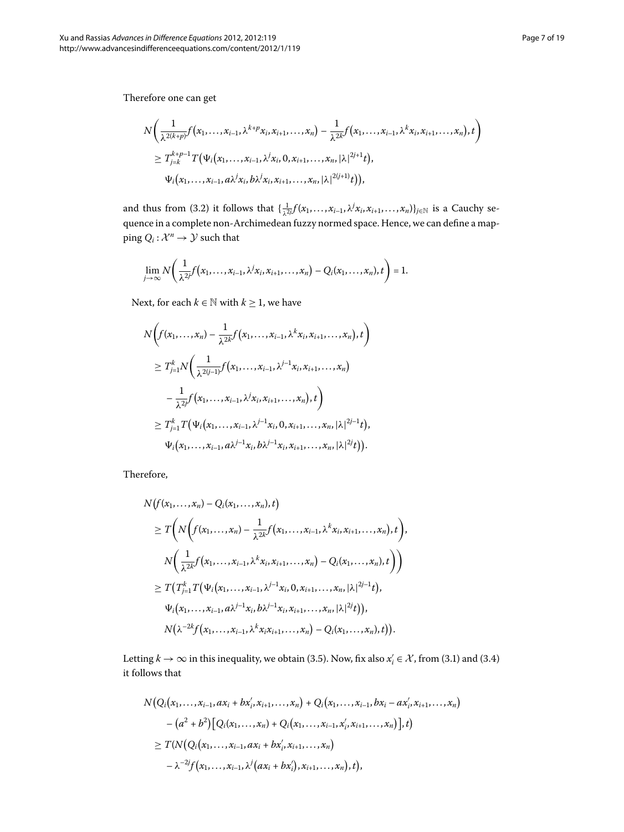$$
N\bigg(\frac{1}{\lambda^{2(k+p)}}f(x_1,\ldots,x_{i-1},\lambda^{k+p}x_i,x_{i+1},\ldots,x_n)-\frac{1}{\lambda^{2k}}f(x_1,\ldots,x_{i-1},\lambda^kx_i,x_{i+1},\ldots,x_n),t\bigg)\\ \geq T_{j=k}^{k+p-1}T(\Psi_i(x_1,\ldots,x_{i-1},\lambda^jx_i,0,x_{i+1},\ldots,x_n,|\lambda|^{2j+1}t),\\ \Psi_i(x_1,\ldots,x_{i-1},a\lambda^jx_i,b\lambda^jx_i,x_{i+1},\ldots,x_n,|\lambda|^{2(j+1)}t)),
$$

and thus from (3.2) it follows that  $\{\frac{1}{\lambda^{2j}}f(x_1,\ldots,x_{i-1},\lambda^jx_i,x_{i+1},\ldots,x_n)\}_{j\in\mathbb{N}}$  is a Cauchy sequence in a complete non-Archimedean fuzzy normed space. Hence, we can define a mapping  $Q_i: \mathcal{X}^n \to \mathcal{Y}$  such that

$$
\lim_{j\to\infty}N\bigg(\frac{1}{\lambda^{2j}}f(x_1,\ldots,x_{i-1},\lambda^jx_i,x_{i+1},\ldots,x_n)-Q_i(x_1,\ldots,x_n),t\bigg)=1.
$$

Next, for each  $k \in \mathbb{N}$  with  $k \geq 1$ , we have

$$
N\big(f(x_1,...,x_n) - \frac{1}{\lambda^{2k}}f(x_1,...,x_{i-1},\lambda^k x_i,x_{i+1},...,x_n),t\big)
$$
  
\n
$$
\geq T'_{j=1}N\bigg(\frac{1}{\lambda^{2(j-1)}}f(x_1,...,x_{i-1},\lambda^{j-1}x_i,x_{i+1},...,x_n)
$$
  
\n
$$
-\frac{1}{\lambda^{2j}}f(x_1,...,x_{i-1},\lambda^j x_i,x_{i+1},...,x_n),t\bigg)
$$
  
\n
$$
\geq T'_{j=1}T(\Psi_i(x_1,...,x_{i-1},\lambda^{j-1}x_i,0,x_{i+1},...,x_n,|\lambda|^{2j-1}t),
$$
  
\n
$$
\Psi_i(x_1,...,x_{i-1},a\lambda^{j-1}x_i,b\lambda^{j-1}x_i,x_{i+1},...,x_n,|\lambda|^{2j}t)).
$$

Therefore,

$$
N(f(x_1,...,x_n) - Q_i(x_1,...,x_n), t)
$$
  
\n
$$
\geq T\bigg(N\bigg(f(x_1,...,x_n) - \frac{1}{\lambda^{2k}}f(x_1,...,x_{i-1},\lambda^k x_i,x_{i+1},...,x_n), t\bigg),
$$
  
\n
$$
N\bigg(\frac{1}{\lambda^{2k}}f(x_1,...,x_{i-1},\lambda^k x_i,x_{i+1},...,x_n) - Q_i(x_1,...,x_n), t\bigg)\bigg)
$$
  
\n
$$
\geq T\bigg(T_{j-1}^k T(\Psi_i(x_1,...,x_{i-1},\lambda^{j-1}x_i,0,x_{i+1},...,x_n,|\lambda|^{2j-1}t),
$$
  
\n
$$
\Psi_i(x_1,...,x_{i-1},a\lambda^{j-1}x_i,b\lambda^{j-1}x_i,x_{i+1},...,x_n,|\lambda|^{2j}t)\bigg),
$$
  
\n
$$
N\bigg(\lambda^{-2k}f(x_1,...,x_{i-1},\lambda^k x_ix_{i+1},...,x_n) - Q_i(x_1,...,x_n), t\bigg).
$$

Letting  $k \to \infty$  in this inequality, we obtain (3[.](#page-4-0)5). Now, fix also  $x'_i \in \mathcal{X}$ , from (3.1) and (3.4) it follows that

$$
N(Q_i(x_1,...,x_{i-1},ax_i+bx'_i,x_{i+1},...,x_n)+Q_i(x_1,...,x_{i-1},bx_i-ax'_i,x_{i+1},...,x_n)- (a^2+b^2)[Q_i(x_1,...,x_n)+Q_i(x_1,...,x_{i-1},x'_i,x_{i+1},...,x_n)],t)\geq T(N(Q_i(x_1,...,x_{i-1},ax_i+bx'_i,x_{i+1},...,x_n)-\lambda^{-2}f(x_1,...,x_{i-1},\lambda^j(ax_i+bx'_i),x_{i+1},...,x_n),t),
$$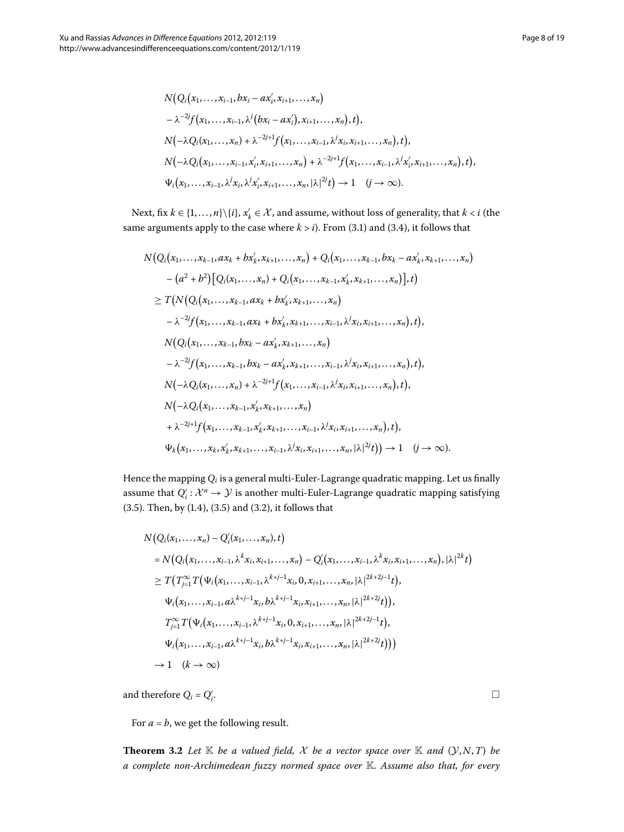$$
N(Q_i(x_1,...,x_{i-1}, bx_i - ax'_i, x_{i+1},...,x_n)
$$
  
\n
$$
- \lambda^{-2j} f(x_1,...,x_{i-1}, \lambda^j (bx_i - ax'_i), x_{i+1},...,x_n), t),
$$
  
\n
$$
N(-\lambda Q_i(x_1,...,x_n) + \lambda^{-2j+1} f(x_1,...,x_{i-1}, \lambda^j x_i, x_{i+1},...,x_n), t),
$$
  
\n
$$
N(-\lambda Q_i(x_1,...,x_{i-1}, x'_i, x_{i+1},...,x_n) + \lambda^{-2j+1} f(x_1,...,x_{i-1}, \lambda^j x'_i, x_{i+1},...,x_n), t),
$$
  
\n
$$
\Psi_i(x_1,...,x_{i-1}, \lambda^j x_i, \lambda^j x'_i, x_{i+1},...,x_n, |\lambda|^{2j} t) \rightarrow 1 \quad (j \rightarrow \infty).
$$

Next, fix  $k \in \{1, ..., n\} \setminus \{i\}, x_k' \in \mathcal{X}$ , and assume, without loss of generality, that  $k < i$  (the same arguments apply to the case where  $k > i$ )[.](#page-4-0) From (3.1) and (3.4), it follows that

$$
N(Q_i(x_1,...,x_{k-1},ax_k+bx'_k,x_{k+1},...,x_n)+Q_i(x_1,...,x_{k-1},bx_k-ax'_k,x_{k+1},...,x_n)
$$
  
\n
$$
-(a^2+b^2)[Q_i(x_1,...,x_n)+Q_i(x_1,...,x_{k-1},x'_k,x_{k+1},...,x_n)],t)
$$
  
\n
$$
\geq T(N(Q_i(x_1,...,x_{k-1},ax_k+bx'_k,x_{k+1},...,x_n))
$$
  
\n
$$
-\lambda^{-2j}f(x_1,...,x_{k-1},ax_k+bx'_k,x_{k+1},...,x_{i-1},\lambda^jx_i,x_{i+1},...,x_n),t),
$$
  
\n
$$
N(Q_i(x_1,...,x_{k-1},bx_k-ax'_k,x_{k+1},...,x_n)
$$
  
\n
$$
-\lambda^{-2j}f(x_1,...,x_{k-1},bx_k-ax'_k,x_{k+1},...,x_{i-1},\lambda^jx_i,x_{i+1},...,x_n),t),
$$
  
\n
$$
N(-\lambda Q_i(x_1,...,x_n)+\lambda^{-2j+1}f(x_1,...,x_{i-1},\lambda^jx_i,x_{i+1},...,x_n),t),
$$
  
\n
$$
N(-\lambda Q_i(x_1,...,x_{k-1},x'_k,x_{k+1},...,x_n)
$$
  
\n
$$
+\lambda^{-2j+1}f(x_1,...,x_{k-1},x'_k,x_{k+1},...,x_{i-1},\lambda^jx_i,x_{i+1},...,x_n),t),
$$
  
\n
$$
\Psi_k(x_1,...,x_k,x'_k,x_{k+1},...,x_{i-1},\lambda^jx_i,x_{i+1},...,x_n)\lambda^{2j}t)) \rightarrow 1 \quad (j \rightarrow \infty).
$$

Hence the mapping *Qi* is a general multi-Euler-Lagrange quadratic mapping. Let us finally assume that  $Q_i': \mathcal{X}^n \to \mathcal{Y}$  is another multi-Euler-Lagrange quadratic mapping satisfying (3.5). Then, by  $(1.4)$ ,  $(3.5)$  and  $(3.2)$ , it follows that

$$
N(Q_i(x_1,...,x_n) - Q'_i(x_1,...,x_n), t)
$$
  
=  $N(Q_i(x_1,...,x_{i-1},\lambda^k x_i, x_{i+1},...,x_n) - Q'_i(x_1,...,x_{i-1},\lambda^k x_i, x_{i+1},...,x_n), |\lambda|^{2k} t)$   

$$
\geq T(T_{j=1}^{\infty} T(\Psi_i(x_1,...,x_{i-1},\lambda^{k+j-1}x_i, 0, x_{i+1},...,x_n, |\lambda|^{2k+2j-1} t),
$$
  

$$
\Psi_i(x_1,...,x_{i-1}, a\lambda^{k+j-1}x_i, b\lambda^{k+j-1}x_i, x_{i+1},...,x_n, |\lambda|^{2k+2j-1} t),
$$
  

$$
T_{j=1}^{\infty} T(\Psi_i(x_1,...,x_{i-1},\lambda^{k+j-1}x_i, 0, x_{i+1},...,x_n, |\lambda|^{2k+2j-1} t),
$$
  

$$
\Psi_i(x_1,...,x_{i-1}, a\lambda^{k+j-1}x_i, b\lambda^{k+j-1}x_i, x_{i+1},...,x_n, |\lambda|^{2k+2j} t)))
$$
  

$$
\rightarrow 1 \quad (k \rightarrow \infty)
$$

<span id="page-7-0"></span>and therefore  $Q_i$  =  $Q'_i$ 

For  $a = b$ , we get the following result.

**Theorem 3.2** Let  $K$  be a valued field, X be a vector space over  $K$  and  $(Y, N, T)$  be *a complete non-Archimedean fuzzy normed space over* K*. Assume also that, for every*

. The contract of the contract of the contract of the contract of  $\Box$  $\Box$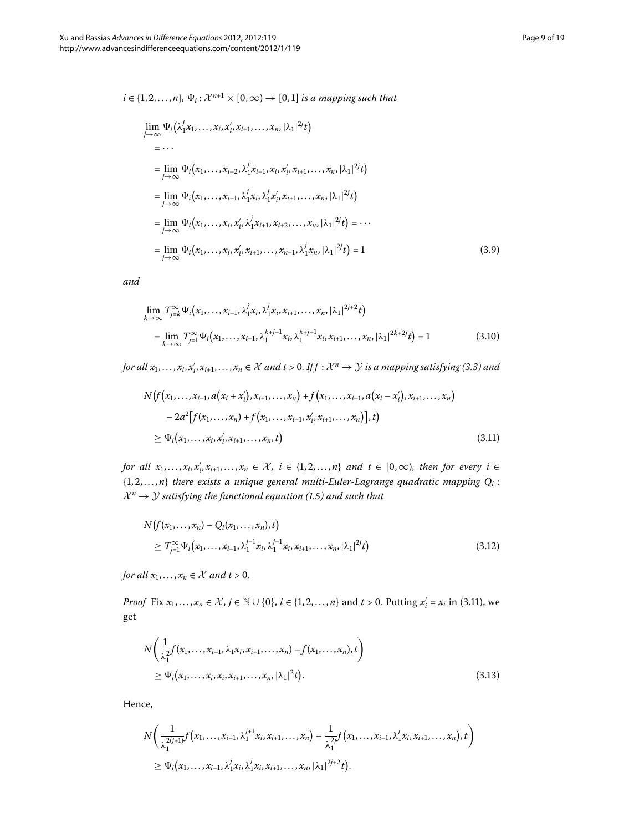<span id="page-8-4"></span>
$$
i \in \{1, 2, ..., n\}, \Psi_i: \mathcal{X}^{n+1} \times [0, \infty) \to [0, 1] \text{ is a mapping such that}
$$
\n
$$
\lim_{j \to \infty} \Psi_i(\lambda_1^j x_1, ..., x_i, x_i^j, x_{i+1}, ..., x_n, |\lambda_1|^{2j} t)
$$
\n
$$
= ...
$$
\n
$$
= \lim_{j \to \infty} \Psi_i(x_1, ..., x_{i-2}, \lambda_1^j x_{i-1}, x_i, x_i^j, x_{i+1}, ..., x_n, |\lambda_1|^{2j} t)
$$
\n
$$
= \lim_{j \to \infty} \Psi_i(x_1, ..., x_{i-1}, \lambda_1^j x_i, \lambda_1^j x_i^j, x_{i+1}, ..., x_n, |\lambda_1|^{2j} t)
$$
\n
$$
= \lim_{j \to \infty} \Psi_i(x_1, ..., x_i, x_i^j, \lambda_1^j x_{i+1}, x_{i+2}, ..., x_n, |\lambda_1|^{2j} t) = ...
$$
\n
$$
= \lim_{j \to \infty} \Psi_i(x_1, ..., x_i, x_i^j, x_{i+1}, ..., x_{n-1}, \lambda_1^j x_n, |\lambda_1|^{2j} t) = 1
$$
\n(3.9)

<span id="page-8-1"></span><span id="page-8-0"></span>*and*

$$
\lim_{k \to \infty} T_{j=k}^{\infty} \Psi_i(x_1, \dots, x_{i-1}, \lambda_1^j x_i, \lambda_1^j x_i, x_{i+1}, \dots, x_n, |\lambda_1|^{2j+2} t)
$$
\n
$$
= \lim_{k \to \infty} T_{j=1}^{\infty} \Psi_i(x_1, \dots, x_{i-1}, \lambda_1^{k+j-1} x_i, \lambda_1^{k+j-1} x_i, x_{i+1}, \dots, x_n, |\lambda_1|^{2k+2j} t) = 1
$$
\n(3.10)

*for all*  $x_1, \ldots, x_i, x'_i, x_{i+1}, \ldots, x_n \in \mathcal{X}$  and  $t > 0$ . If  $f : \mathcal{X}^n \to \mathcal{Y}$  is a mapping satisfying (3.3) and

$$
N(f(x_1,...,x_{i-1},a(x_i+x'_i),x_{i+1},...,x_n)+f(x_1,...,x_{i-1},a(x_i-x'_i),x_{i+1},...,x_n)
$$
  

$$
-2a^2[f(x_1,...,x_n)+f(x_1,...,x_{i-1},x'_i,x_{i+1},...,x_n)],t)
$$
  

$$
\geq \Psi_i(x_1,...,x_i,x'_i,x_{i+1},...,x_n,t)
$$
 (3.11)

<span id="page-8-3"></span>*for all*  $x_1, \ldots, x_i, x'_i, x_{i+1}, \ldots, x_n \in \mathcal{X}, i \in \{1, 2, \ldots, n\}$  and  $t \in [0, \infty)$ , then for every  $i \in$  $\{1, 2, \ldots, n\}$  *there exists a unique general multi-Euler-Lagrange quadratic mapping*  $Q_i$ *:*  $\mathcal{X}^n \rightarrow \mathcal{Y}$  *satisfying the functional equation (1[.](#page-1-2)5) and such that* 

$$
N(f(x_1,...,x_n) - Q_i(x_1,...,x_n), t)
$$
  
\n
$$
\geq T_{j=1}^{\infty} \Psi_i(x_1,...,x_{i-1}, \lambda_1^{j-1} x_i, \lambda_1^{j-1} x_i, x_{i+1},..., x_n, |\lambda_1|^{2j} t)
$$
\n(3.12)

<span id="page-8-2"></span>*for all*  $x_1, \ldots, x_n \in \mathcal{X}$  *and t* > 0.

*Proof* Fix  $x_1, \ldots, x_n \in \mathcal{X}$ ,  $j \in \mathbb{N} \cup \{0\}$ ,  $i \in \{1, 2, \ldots, n\}$  and  $t > 0$ . Putting  $x'_i = x_i$  in (3.11), we get

$$
N\left(\frac{1}{\lambda_1^2}f(x_1,\ldots,x_{i-1},\lambda_1x_i,x_{i+1},\ldots,x_n)-f(x_1,\ldots,x_n),t\right) \geq \Psi_i(x_1,\ldots,x_i,x_i,x_{i+1},\ldots,x_n,|\lambda_1|^2t).
$$
\n(3.13)

Hence,

$$
N\bigg(\frac{1}{\lambda_1^{2(j+1)}}f(x_1,\ldots,x_{i-1},\lambda_1^{j+1}x_i,x_{i+1},\ldots,x_n)-\frac{1}{\lambda_1^{2j}}f(x_1,\ldots,x_{i-1},\lambda_1^jx_i,x_{i+1},\ldots,x_n),t\bigg)\\ \geq \Psi_i(x_1,\ldots,x_{i-1},\lambda_1^jx_i,\lambda_1^jx_i,x_{i+1},\ldots,x_n,|\lambda_1|^{2j+2}t).
$$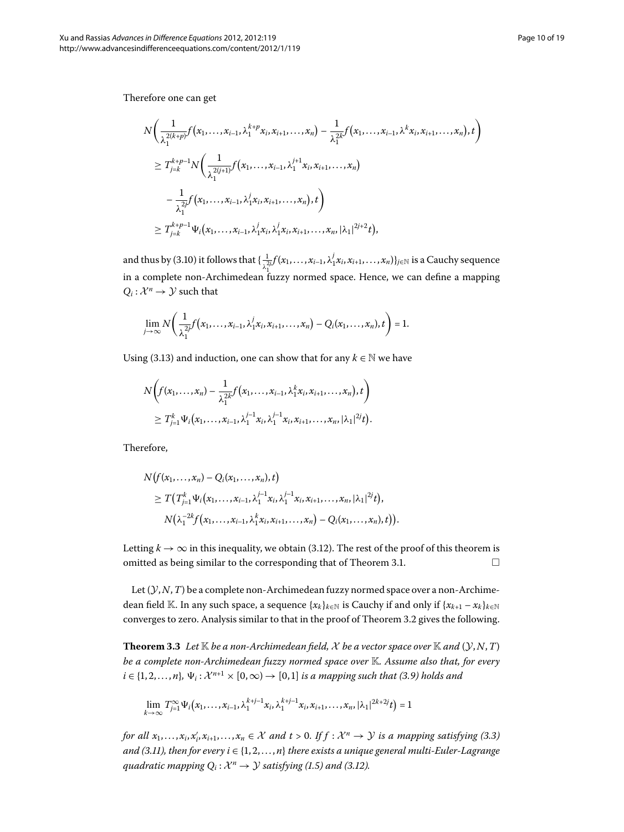Therefore one can get

$$
N\left(\frac{1}{\lambda_1^{2(k+p)}}f(x_1,\ldots,x_{i-1},\lambda_1^{k+p}x_i,x_{i+1},\ldots,x_n)-\frac{1}{\lambda_1^{2k}}f(x_1,\ldots,x_{i-1},\lambda^k x_i,x_{i+1},\ldots,x_n),t\right)
$$
  
\n
$$
\geq T_{j=k}^{k+p-1}N\left(\frac{1}{\lambda_1^{2(j+1)}}f(x_1,\ldots,x_{i-1},\lambda_1^{j+1}x_i,x_{i+1},\ldots,x_n)\right)
$$
  
\n
$$
-\frac{1}{\lambda_1^{2j}}f(x_1,\ldots,x_{i-1},\lambda_1^jx_i,x_{i+1},\ldots,x_n),t\right)
$$
  
\n
$$
\geq T_{j=k}^{k+p-1}\Psi_i(x_1,\ldots,x_{i-1},\lambda_1^jx_i,\lambda_1^jx_i,x_{i+1},\ldots,x_n,|\lambda_1|^{2j+2}t),
$$

and thus by (3.10) it follows that  $\{\frac{1}{\lambda_1^{\gamma} f}(x_1,\ldots,x_{i-1},\lambda_1^j x_i,x_{i+1},\ldots,x_n)\}_{j\in\mathbb{N}}$  is a Cauchy sequence in a complete non-Archimedean fuzzy normed space. Hence, we can define a mapping  $Q_i: \mathcal{X}^n \to \mathcal{Y}$  such that

$$
\lim_{j\to\infty}N\bigg(\frac{1}{\lambda_1^{2j}}f(x_1,\ldots,x_{i-1},\lambda_1^jx_i,x_{i+1},\ldots,x_n)-Q_i(x_1,\ldots,x_n),t\bigg)=1.
$$

Using (3.13) and induction, one can show that for any  $k \in \mathbb{N}$  we have

$$
N\big(f(x_1,\ldots,x_n)-\frac{1}{\lambda_1^{2k}}f(x_1,\ldots,x_{i-1},\lambda_1^kx_i,x_{i+1},\ldots,x_n),t\bigg)\\ \geq T'_{j=1}\Psi_i(x_1,\ldots,x_{i-1},\lambda_1^{j-1}x_i,\lambda_1^{j-1}x_i,x_{i+1},\ldots,x_n,|\lambda_1|^{2j}t).
$$

Therefore,

$$
N(f(x_1,...,x_n)-Q_i(x_1,...,x_n),t)
$$
  
\n
$$
\geq T(T_{j-1}^k \Psi_i(x_1,...,x_{i-1},\lambda_1^{j-1}x_i,\lambda_1^{j-1}x_i,x_{i+1},...,x_n,|\lambda_1|^{2j}t),
$$
  
\n
$$
N(\lambda_1^{-2k}f(x_1,...,x_{i-1},\lambda_1^kx_i,x_{i+1},...,x_n)-Q_i(x_1,...,x_n),t)).
$$

<span id="page-9-0"></span>Letting  $k \to \infty$  in this inequality, we obtain (3.12). The rest of the proof of this theorem is omitted as being similar to the corresponding that of Theorem 3[.](#page-4-1)1.  $\Box$ 

Let (Y,*N*,*T*) be a complete non-Archimedean fuzzy normed space over a non-Archimedean field K. In any such space, a sequence  $\{x_k\}_{k\in\mathbb{N}}$  is Cauchy if and only if  $\{x_{k+1} - x_k\}_{k\in\mathbb{N}}$ converges to zero[.](#page-7-0) Analysis similar to that in the proof of Theorem 3.2 gives the following.

**Theorem 3.3** Let  $\mathbb K$  be a non-Archimedean field, X be a vector space over  $\mathbb K$  and  $(\mathcal Y, N, T)$ *be a complete non-Archimedean fuzzy normed space over* K*. Assume also that, for every*  $i \in \{1, 2, ..., n\}, \Psi_i : \mathcal{X}^{n+1} \times [0, \infty) \to [0, 1]$  *is a mapping such that (3.9) holds and* 

$$
\lim_{k\rightarrow\infty}T_{j=1}^\infty\Psi_i\big(x_1,\ldots,x_{i-1},\lambda_1^{k+j-1}x_i,\lambda_1^{k+j-1}x_i,x_{i+1},\ldots,x_n,|\lambda_1|^{2k+2j}t\big)=1
$$

*for all*  $x_1, \ldots, x_i, x'_i, x_{i+1}, \ldots, x_n \in \mathcal{X}$  and  $t > 0$ [.](#page-5-5) If  $f : \mathcal{X}^n \to \mathcal{Y}$  is a mapping satisfying (3.3) *and (3.11), then for every i*  $\in$  {1, 2, ..., *n*} *there exists a unique general multi-Euler-Lagrange quadratic mapping*  $Q_i: \mathcal{X}^n \to \mathcal{Y}$  *satisfying* (1[.](#page-8-3)5) and (3.12).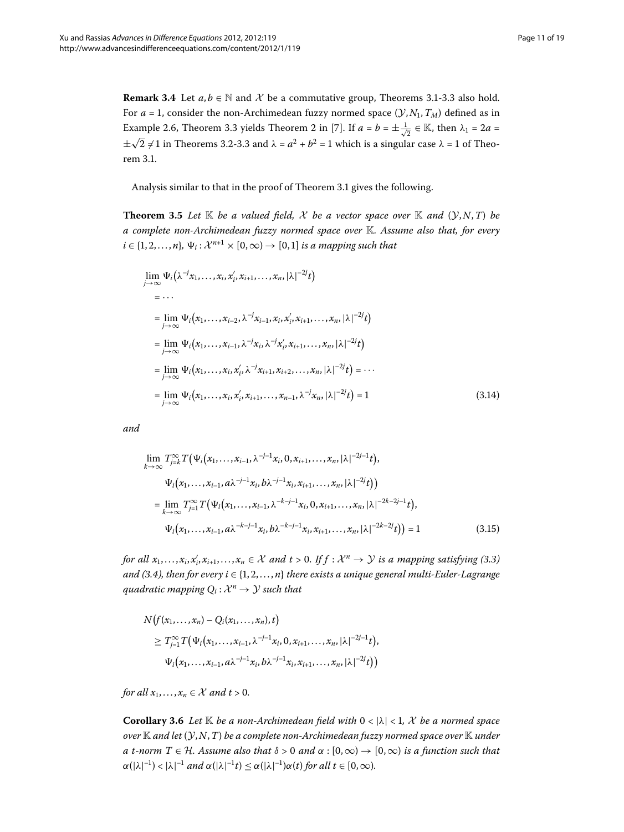<span id="page-10-0"></span>**Remark 3[.](#page-4-1)4** Let  $a, b \in \mathbb{N}$  and X be a commutative group, Theorems 3.1-3.3 also hold. For  $a = 1$ , consider the non-Archimedean fuzzy normed space  $(\mathcal{Y}, N_1, T_M)$  defined as in Example 2[.](#page-9-0)6, Theorem 3.3 yields Theorem 2 in [\[](#page-17-9)7]. If  $a = b = \pm \frac{1}{\sqrt{2}} \in \mathbb{K}$ , then  $\lambda_1 = 2a =$  $\pm\sqrt{2}$  ≠ 1 in Theorems 3[.](#page-7-0)2-3.3 and  $\lambda = a^2 + b^2 = 1$  which is a singular case  $\lambda = 1$  of Theorem 3.1.

<span id="page-10-1"></span>Analysis similar to that in the proof of Theorem 3[.](#page-4-1)1 gives the following.

**Theorem 3.5** Let  $\mathbb{K}$  be a valued field, X be a vector space over  $\mathbb{K}$  and  $(\mathcal{Y}, N, T)$  be *a complete non-Archimedean fuzzy normed space over* K*. Assume also that, for every*  $i \in \{1, 2, \ldots, n\}, \Psi_i: \mathcal{X}^{n+1} \times [0, \infty) \to [0, 1]$  *is a mapping such that* 

$$
\lim_{j \to \infty} \Psi_i(\lambda^{-j}x_1, ..., x_i, x'_i, x_{i+1}, ..., x_n, |\lambda|^{-2j}t)
$$
\n
$$
= ...
$$
\n
$$
= \lim_{j \to \infty} \Psi_i(x_1, ..., x_{i-2}, \lambda^{-j}x_{i-1}, x_i, x'_i, x_{i+1}, ..., x_n, |\lambda|^{-2j}t)
$$
\n
$$
= \lim_{j \to \infty} \Psi_i(x_1, ..., x_{i-1}, \lambda^{-j}x_i, \lambda^{-j}x'_i, x_{i+1}, ..., x_n, |\lambda|^{-2j}t)
$$
\n
$$
= \lim_{j \to \infty} \Psi_i(x_1, ..., x_i, x'_i, \lambda^{-j}x_{i+1}, x_{i+2}, ..., x_n, |\lambda|^{-2j}t) = ...
$$
\n
$$
= \lim_{j \to \infty} \Psi_i(x_1, ..., x_i, x'_i, x_{i+1}, ..., x_{n-1}, \lambda^{-j}x_n, |\lambda|^{-2j}t) = 1
$$
\n(3.14)

*and*

$$
\lim_{k \to \infty} T_{j=k}^{\infty} T(\Psi_i(x_1, \dots, x_{i-1}, \lambda^{-j-1} x_i, 0, x_{i+1}, \dots, x_n, |\lambda|^{-2j-1} t),
$$
\n
$$
\Psi_i(x_1, \dots, x_{i-1}, a\lambda^{-j-1} x_i, b\lambda^{-j-1} x_i, x_{i+1}, \dots, x_n, |\lambda|^{-2j} t))
$$
\n
$$
= \lim_{k \to \infty} T_{j=1}^{\infty} T(\Psi_i(x_1, \dots, x_{i-1}, \lambda^{-k-j-1} x_i, 0, x_{i+1}, \dots, x_n, |\lambda|^{-2k-2j-1} t),
$$
\n
$$
\Psi_i(x_1, \dots, x_{i-1}, a\lambda^{-k-j-1} x_i, b\lambda^{-k-j-1} x_i, x_{i+1}, \dots, x_n, |\lambda|^{-2k-2j} t)) = 1
$$
\n(3.15)

*for all*  $x_1, \ldots, x_i, x'_i, x_{i+1}, \ldots, x_n \in \mathcal{X}$  and  $t > 0$ [.](#page-5-5) If  $f : \mathcal{X}^n \to \mathcal{Y}$  is a mapping satisfying (3.3) *and (3[.](#page-5-0)4), then for every i*  $\in$  {1, 2, ..., *n*} *there exists a unique general multi-Euler-Lagrange quadratic mapping*  $Q_i: \mathcal{X}^n \to \mathcal{Y}$  *such that* 

<span id="page-10-2"></span>
$$
N(f(x_1,...,x_n) - Q_i(x_1,...,x_n), t)
$$
  
\n
$$
\geq T_{j=1}^{\infty} T(\Psi_i(x_1,...,x_{i-1},\lambda^{-j-1}x_i,0,x_{i+1},...,x_n,|\lambda|^{-2j-1}t),
$$
  
\n
$$
\Psi_i(x_1,...,x_{i-1},a\lambda^{-j-1}x_i,b\lambda^{-j-1}x_i,x_{i+1},...,x_n,|\lambda|^{-2j}t))
$$

*for all*  $x_1, \ldots, x_n \in \mathcal{X}$  *and t* > 0.

**Corollary 3.6** Let  $\mathbb{K}$  be a non-Archimedean field with  $0 < |\lambda| < 1$ , X be a normed space *over* K *and let* (Y,*N*,*T*) *be a complete non-Archimedean fuzzy normed space over* K *under a t*-norm  $T \in \mathcal{H}$ *. Assume also that*  $\delta > 0$  *and*  $\alpha : [0, \infty) \to [0, \infty)$  *is a function such that*  $\alpha(|\lambda|^{-1}) < |\lambda|^{-1}$  and  $\alpha(|\lambda|^{-1}t) \leq \alpha(|\lambda|^{-1})\alpha(t)$  for all  $t \in [0,\infty)$ .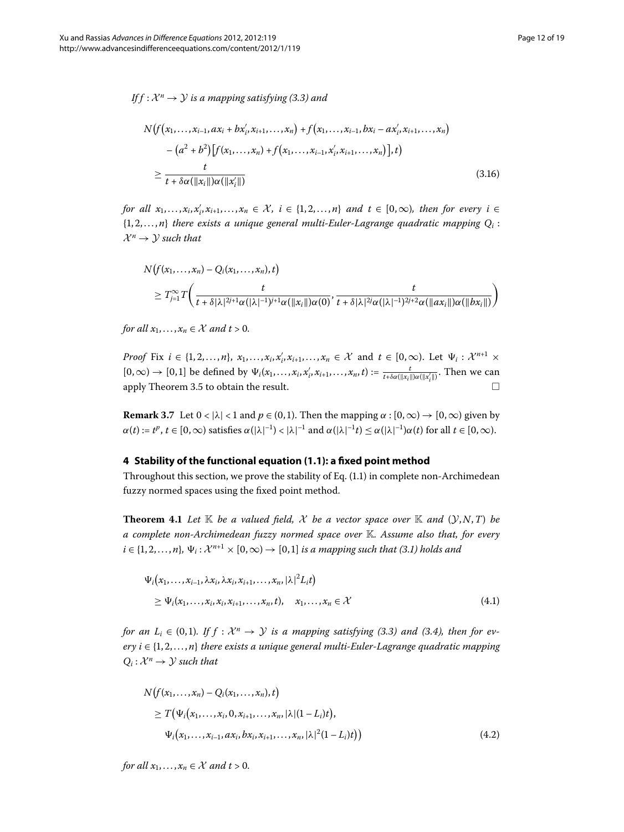*If f* :  $\mathcal{X}^n \to \mathcal{Y}$  *is a mapping satisfying (3.3) and* 

$$
N(f(x_1,...,x_{i-1},ax_i+bx'_i,x_{i+1},...,x_n)+f(x_1,...,x_{i-1},bx_i-ax'_i,x_{i+1},...,x_n)
$$
  

$$
-(a^2+b^2)[f(x_1,...,x_n)+f(x_1,...,x_{i-1},x'_i,x_{i+1},...,x_n)],t)
$$
  

$$
\geq \frac{t}{t+\delta\alpha(\|x_i\|)\alpha(\|x'_i\|)}
$$
(3.16)

*for all*  $x_1, \ldots, x_i, x'_i, x_{i+1}, \ldots, x_n \in \mathcal{X}, i \in \{1, 2, \ldots, n\}$  and  $t \in [0, \infty)$ , then for every  $i \in$  $\{1, 2, \ldots, n\}$  there exists a unique general multi-Euler-Lagrange quadratic mapping  $Q_i$ :  $\mathcal{X}^n \rightarrow \mathcal{Y}$  such that

$$
N(f(x_1,...,x_n)-Q_i(x_1,...,x_n),t)
$$
  
\n
$$
\geq T_{j=1}^{\infty}T\left(\frac{t}{t+\delta|\lambda|^{2j+1}\alpha(|\lambda|^{-1})^{j+1}\alpha(||x_i||)\alpha(0)},\frac{t}{t+\delta|\lambda|^{2j}\alpha(|\lambda|^{-1})^{2j+2}\alpha(||ax_i||)\alpha(||bx_i||)}\right)
$$

*for all*  $x_1, \ldots, x_n \in \mathcal{X}$  *and t* > 0.

*Proof* Fix  $i \in \{1, 2, ..., n\}$ ,  $x_1, ..., x_i$ ,  $x'_i$ ,  $x_{i+1}, ..., x_n \in \mathcal{X}$  and  $t \in [0, \infty)$ . Let  $\Psi_i : \mathcal{X}^{n+1} \times \mathcal{X}^{n+1}$  $[0,\infty) \to [0,1]$  be defined by  $\Psi_i(x_1,\ldots,x_i,x_i',x_{i+1},\ldots,x_n,t) := \frac{t}{t+\delta\alpha(\|x_i\|)\alpha(\|x_i'\|)}$ . Then we can apply Theorem 3[.](#page-10-0)5 to obtain the result.  $\Box$ 

<span id="page-11-2"></span>**Remark 3.7** Let  $0 < |\lambda| < 1$  and  $p \in (0, 1)$ . Then the mapping  $\alpha : [0, \infty) \to [0, \infty)$  given by  $\alpha(t) := t^p, t \in [0, \infty)$  satisfies  $\alpha(|\lambda|^{-1}) < |\lambda|^{-1}$  and  $\alpha(|\lambda|^{-1}t) \leq \alpha(|\lambda|^{-1})\alpha(t)$  for all  $t \in [0, \infty)$ .

## **4 Stability of the functional equation ([1.1\)](#page-0-1): a fixed point method**

<span id="page-11-0"></span>Throughout this section, we prove the stability of Eq[.](#page-0-1)  $(1.1)$  in complete non-Archimedean fuzzy normed spaces using the fixed point method.

**Theorem 4.1** Let  $K$  be a valued field,  $X$  be a vector space over  $K$  and  $(Y, N, T)$  be *a complete non-Archimedean fuzzy normed space over* K*. Assume also that, for every*  $i \in \{1, 2, \ldots, n\}, \Psi_i : \mathcal{X}^{n+1} \times [0, \infty) \to [0, 1]$  *is a mapping such that (3.1) holds and* 

$$
\Psi_i(x_1,\ldots,x_{i-1},\lambda x_i,\lambda x_i,x_{i+1},\ldots,x_n,|\lambda|^2 L_i t)
$$
\n
$$
\geq \Psi_i(x_1,\ldots,x_i,x_i,x_{i+1},\ldots,x_n,t), \quad x_1,\ldots,x_n \in \mathcal{X}
$$
\n(4.1)

<span id="page-11-1"></span>*for an L<sub>i</sub>*  $\in$  (0,1)*.* If  $f : \mathcal{X}^n \to \mathcal{Y}$  is a mapping satisfying (3.3) and (3.4), then for ev $e^{i}$  *ery*  $i \in \{1, 2, ..., n\}$  *there exists a unique general multi-Euler-Lagrange quadratic mapping*  $Q_i: \mathcal{X}^n \to \mathcal{Y}$  such that

$$
N(f(x_1,...,x_n) - Q_i(x_1,...,x_n), t)
$$
  
\n
$$
\geq T(\Psi_i(x_1,...,x_i, 0, x_{i+1},...,x_n, |\lambda|(1-L_i)t),
$$
  
\n
$$
\Psi_i(x_1,...,x_{i-1}, ax_i, bx_i, x_{i+1},...,x_n, |\lambda|^2(1-L_i)t))
$$
\n(4.2)

*for all*  $x_1, \ldots, x_n \in \mathcal{X}$  *and t* > 0.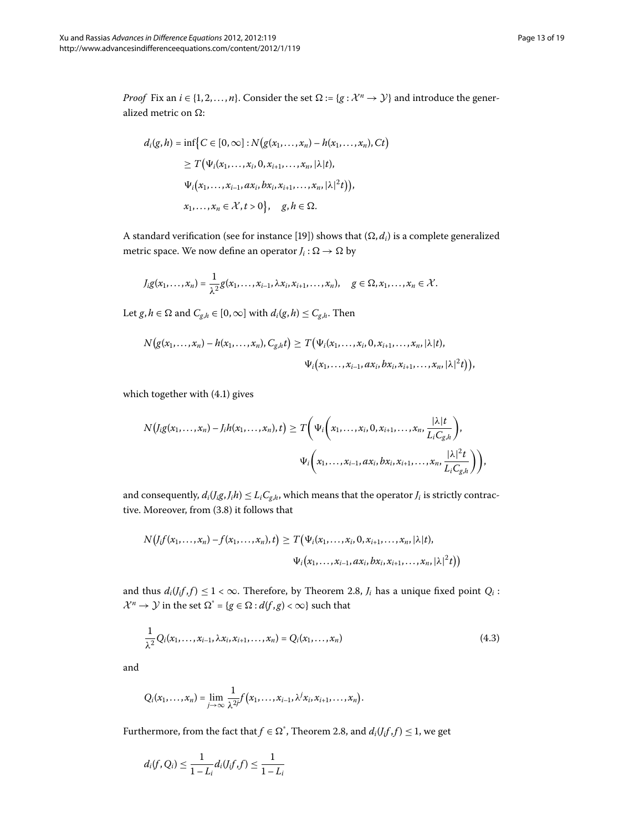*Proof* Fix an  $i \in \{1, 2, ..., n\}$ . Consider the set  $\Omega := \{g : \mathcal{X}^n \to \mathcal{Y}\}\$  and introduce the generalized metric on  $\Omega$ :

$$
d_i(g, h) = \inf \{ C \in [0, \infty] : N(g(x_1, ..., x_n) - h(x_1, ..., x_n), Ct) \}
$$
  
\n
$$
\geq T(\Psi_i(x_1, ..., x_i, 0, x_{i+1}, ..., x_n, |\lambda|t),
$$
  
\n
$$
\Psi_i(x_1, ..., x_{i-1}, ax_i, bx_i, x_{i+1}, ..., x_n, |\lambda|^2t)),
$$
  
\n
$$
x_1, ..., x_n \in \mathcal{X}, t > 0 \}, \quad g, h \in \Omega.
$$

A standard verification (see for instance [19]) shows that  $(\Omega, d_i)$  is a complete generalized metric space. We now define an operator  $J_i : \Omega \to \Omega$  by

$$
J_i g(x_1,\ldots,x_n)=\frac{1}{\lambda^2}g(x_1,\ldots,x_{i-1},\lambda x_i,x_{i+1},\ldots,x_n), \quad g\in\Omega,x_1,\ldots,x_n\in\mathcal{X}.
$$

Let *g*, *h*  $\in \Omega$  and  $C_{g,h} \in [0,\infty]$  with  $d_i(g,h) \leq C_{g,h}$ . Then

$$
N(g(x_1,...,x_n) - h(x_1,...,x_n), C_{g,h}t) \geq T(\Psi_i(x_1,...,x_i, 0, x_{i+1},...,x_n,|\lambda|t),
$$
  

$$
\Psi_i(x_1,...,x_{i-1}, ax_i, bx_i, x_{i+1},...,x_n,|\lambda|^2t)),
$$

which together with  $(4.1)$  $(4.1)$  $(4.1)$  gives

$$
N\big(J_{i}g(x_{1},\ldots,x_{n})-J_{i}h(x_{1},\ldots,x_{n}),t\big)\geq T\bigg(\Psi_{i}\bigg(x_{1},\ldots,x_{i},0,x_{i+1},\ldots,x_{n},\frac{|\lambda|t}{L_{i}C_{g,h}}\bigg),\newline\Psi_{i}\bigg(x_{1},\ldots,x_{i-1},ax_{i},bx_{i},x_{i+1},\ldots,x_{n},\frac{|\lambda|^{2}t}{L_{i}C_{g,h}}\bigg)\bigg),
$$

and consequently,  $d_i(j_ig, J_i h) \leq L_i C_{g,h}$ , which means that the operator  $J_i$  is strictly contractive. Moreover, from (3.8) it follows that

<span id="page-12-0"></span>
$$
N(J_i f(x_1,...,x_n) - f(x_1,...,x_n), t) \ge T(\Psi_i(x_1,...,x_i, 0, x_{i+1},...,x_n, |\lambda|t),
$$
  

$$
\Psi_i(x_1,...,x_{i-1}, ax_i, bx_i, x_{i+1},...,x_n, |\lambda|^2 t))
$$

and thus  $d_i(f_i, f) \leq 1 < \infty$ . Therefore, by Theorem 2.8,  $J_i$  has a unique fixed point  $Q_i$ :  $\mathcal{X}^n \to \mathcal{Y}$  in the set  $\Omega^* = \{g \in \Omega : d(f, g) < \infty\}$  such that

$$
\frac{1}{\lambda^2} Q_i(x_1, \dots, x_{i-1}, \lambda x_i, x_{i+1}, \dots, x_n) = Q_i(x_1, \dots, x_n)
$$
\n(4.3)

and

$$
Q_i(x_1,\ldots,x_n)=\lim_{j\to\infty}\frac{1}{\lambda^{2j}}f\big(x_1,\ldots,x_{i-1},\lambda^jx_i,x_{i+1},\ldots,x_n\big).
$$

Furthermore, from the fact that  $f \in \Omega^*$ , Theorem 2[.](#page-4-2)8, and  $d_i(f_i, f) \leq 1$ , we get

$$
d_i(f, Q_i) \leq \frac{1}{1-L_i} d_i(J_i f, f) \leq \frac{1}{1-L_i}
$$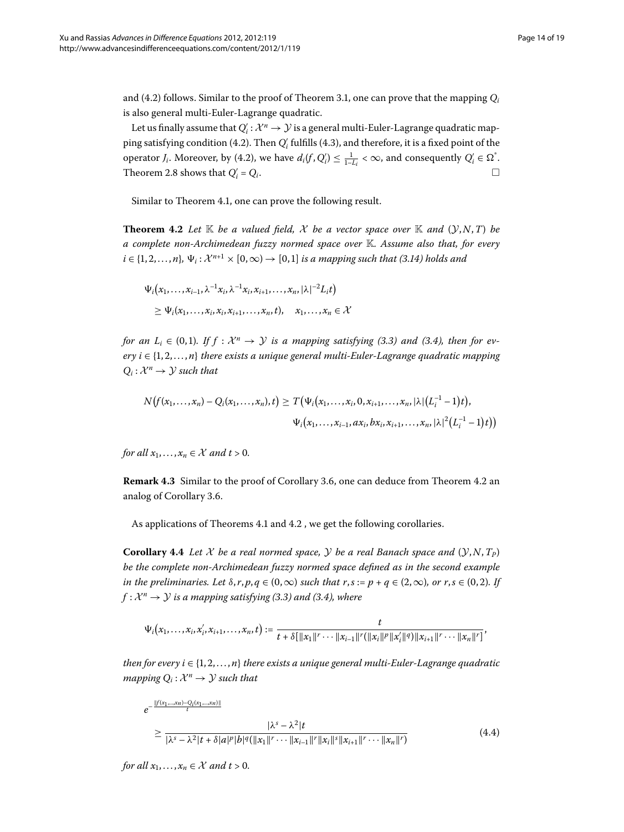and (4.2) follows. Similar to the proof of Theorem 3.1, one can prove that the mapping  $Q_i$ is also general multi-Euler-Lagrange quadratic.

<span id="page-13-0"></span>Let us finally assume that  $Q'_i : \mathcal{X}^n \to \mathcal{Y}$  is a general multi-Euler-Lagrange quadratic map-ping satisfying condition (4[.](#page-12-0)2). Then  $Q^\prime_i$  fulfills (4.3), and therefore, it is a fixed point of the operator *J<sub>i</sub>*[.](#page-11-1) Moreover, by (4.2), we have  $d_i(f, Q'_i) \leq \frac{1}{1 - L_i} < \infty$ , and consequently  $Q'_i \in \Omega^*$ . Theorem 2[.](#page-4-2)8 shows that  $Q'_i = Q_i$ .  $\alpha_i' = Q_i.$ 

Similar to Theorem 4[.](#page-11-2)1, one can prove the following result.

**Theorem 4.2** Let  $\mathbb K$  be a valued field, X be a vector space over  $\mathbb K$  and  $(\mathcal Y, N, T)$  be *a complete non-Archimedean fuzzy normed space over* K*. Assume also that, for every*  $i \in \{1, 2, \ldots, n\}, \Psi_i: \mathcal{X}^{n+1} \times [0, \infty) \to [0, 1]$  *is a mapping such that (3.14) holds and* 

$$
\Psi_i(x_1,\ldots,x_{i-1},\lambda^{-1}x_i,\lambda^{-1}x_i,x_{i+1},\ldots,x_n,|\lambda|^{-2}L_i t)
$$
  
\n
$$
\geq \Psi_i(x_1,\ldots,x_i,x_i,x_{i+1},\ldots,x_n,t), \quad x_1,\ldots,x_n \in \mathcal{X}
$$

*for an L<sub>i</sub>*  $\in$  (0,1)*.* If  $f : \mathcal{X}^n \to \mathcal{Y}$  *is a mapping satisfying (3.3) and (3.4), then for ev* $e^{i}$  *ery*  $i \in \{1, 2, ..., n\}$  *there exists a unique general multi-Euler-Lagrange quadratic mapping*  $Q_i: \mathcal{X}^n \to \mathcal{Y}$  such that

$$
N(f(x_1,...,x_n)-Q_i(x_1,...,x_n),t) \geq T(\Psi_i(x_1,...,x_i,0,x_{i+1},...,x_n,|\lambda|(L_i^{-1}-1)t),
$$
  

$$
\Psi_i(x_1,...,x_{i-1},ax_i,bx_i,x_{i+1},...,x_n,|\lambda|^2(L_i^{-1}-1)t))
$$

<span id="page-13-2"></span>*for all*  $x_1, \ldots, x_n \in \mathcal{X}$  *and t* > 0.

**Remark 4[.](#page-13-0)3** Similar to the proof of Corollary 3.6, one can deduce from Theorem 4.2 an analog of Corollary 3.6.

As applications of Theorems 4[.](#page-13-0)1 and 4.2, we get the following corollaries.

**Corollary 4.4** Let X be a real normed space, Y be a real Banach space and  $(\mathcal{Y}, N, T_p)$ *be the complete non-Archimedean fuzzy normed space defined as in the second example in the preliminaries. Let*  $\delta$ , *r*,  $p$ ,  $q \in (0, \infty)$  *such that*  $r$ ,  $s := p + q \in (2, \infty)$ , or  $r$ ,  $s \in (0, 2)$ . If  $f: \mathcal{X}^n \to \mathcal{Y}$  *is a mapping satisfying (3[.](#page-5-0)3) and (3.4), where* 

$$
\Psi_i(x_1,\ldots,x_i,x_i',x_{i+1},\ldots,x_n,t):=\frac{t}{t+\delta[\|x_1\|^r\cdots\|x_{i-1}\|^r(\|x_i\|^p\|x_i'\|^q)\|x_{i+1}\|^r\cdots\|x_n\|^r]},
$$

<span id="page-13-1"></span>*then for every i*  $\in$  {1, 2, ..., *n*} *there exists a unique general multi-Euler-Lagrange quadratic mapping*  $Q_i : \mathcal{X}^n \to \mathcal{Y}$  *such that* 

$$
e^{-\frac{\|f(x_1,...,x_n)-Q_i(x_1,...,x_n)\|}{t}} \ge \frac{|\lambda^s - \lambda^2|t}{|\lambda^s - \lambda^2|t + \delta|a|^p|b|^q(\|x_1\|^r \cdots \|x_{i-1}\|^r \|x_i\|^s \|x_{i+1}\|^r \cdots \|x_n\|^r)}
$$
(4.4)

*for all*  $x_1, \ldots, x_n \in \mathcal{X}$  *and t* > 0.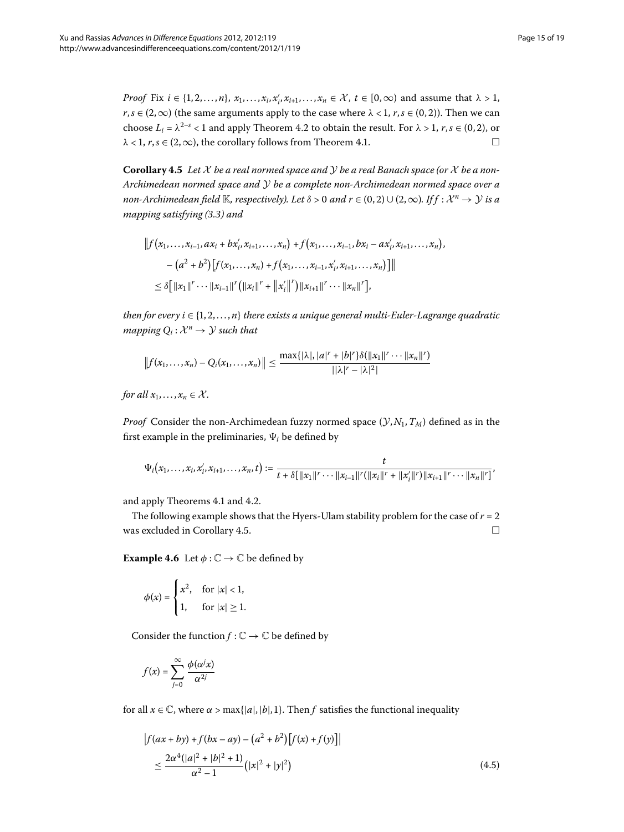<span id="page-14-0"></span>*Proof* Fix  $i \in \{1, 2, ..., n\}$ ,  $x_1, ..., x_i$ ,  $x'_i$ ,  $x_{i+1}, ..., x_n \in \mathcal{X}$ ,  $t \in [0, \infty)$  and assume that  $\lambda > 1$ ,  $r, s \in (2, \infty)$  (the same arguments apply to the case where  $\lambda < 1, r, s \in (0, 2)$ ). Then we can choose  $L_i = \lambda^{2-s} < 1$  and apply Theorem 4[.](#page-13-0)2 to obtain the result. For  $\lambda > 1$ ,  $r, s \in (0, 2)$ , or  $\lambda$  < 1,  $r, s \in (2, \infty)$ , the corollary follows from Theorem 4[.](#page-11-2)1.

**Corollary .** *Let* X *be a real normed space and* Y *be a real Banach space (or* X *be a non-Archimedean normed space and* Y *be a complete non-Archimedean normed space over a non-Archimedean field* K, *respectively*). Let  $\delta > 0$  and  $r \in (0, 2) \cup (2, \infty)$ . If  $f : \mathcal{X}^n \to \mathcal{Y}$  is a *mapping satisfying (3.3) and* 

$$
|| f (x_1,...,x_{i-1}, ax_i + bx'_i, x_{i+1},...,x_n) + f (x_1,...,x_{i-1}, bx_i - ax'_i, x_{i+1},...,x_n),
$$
  

$$
- (a^2 + b^2) [f (x_1,...,x_n) + f (x_1,...,x_{i-1}, x'_i, x_{i+1},...,x_n)]||
$$
  

$$
\leq \delta [||x_1||^r \cdots ||x_{i-1}||^r (||x_i||^r + ||x'_i||^r) ||x_{i+1}||^r \cdots ||x_n||^r],
$$

*then for every i*  $\in$  {1, 2, ..., *n*} *there exists a unique general multi-Euler-Lagrange quadratic mapping*  $Q_i: \mathcal{X}^n \to \mathcal{Y}$  *such that* 

$$
||f(x_1,...,x_n)-Q_i(x_1,...,x_n)|| \leq \frac{\max\{|\lambda|,|a|^r+|b|^r\}\delta(||x_1||^r\cdots||x_n||^r)}{||\lambda|^r-|\lambda|^2|}
$$

*for all*  $x_1, \ldots, x_n \in \mathcal{X}$ *.* 

*Proof* Consider the non-Archimedean fuzzy normed space  $(\mathcal{Y}, N_1, T_M)$  defined as in the first example in the preliminaries,  $\Psi_i$  be defined by

$$
\Psi_i(x_1,\ldots,x_i,x_i',x_{i+1},\ldots,x_n,t):=\frac{t}{t+\delta[\|x_1\|^r\cdots\|x_{i-1}\|^r(\|x_i\|^r+\|x_i'\|^r)\|x_{i+1}\|^r\cdots\|x_n\|^r]},
$$

and apply Theorems 4[.](#page-13-0)1 and 4.2.

The following example shows that the Hyers-Ulam stability problem for the case of  $r = 2$ was excluded in Corollary 4.5.  $\Box$ 

**Example 4.6** Let  $\phi : \mathbb{C} \to \mathbb{C}$  be defined by

$$
\phi(x) = \begin{cases} x^2, & \text{for } |x| < 1, \\ 1, & \text{for } |x| \ge 1. \end{cases}
$$

<span id="page-14-1"></span>Consider the function  $f : \mathbb{C} \to \mathbb{C}$  be defined by

$$
f(x) = \sum_{j=0}^{\infty} \frac{\phi(\alpha^j x)}{\alpha^{2j}}
$$

for all  $x \in \mathbb{C}$ , where  $\alpha > \max\{|a|, |b|, 1\}$ . Then *f* satisfies the functional inequality

$$
\begin{aligned} \left| f(ax + by) + f(bx - ay) - (a^2 + b^2) [f(x) + f(y)] \right| \\ &\le \frac{2\alpha^4 (|a|^2 + |b|^2 + 1)}{\alpha^2 - 1} \left( |x|^2 + |y|^2 \right) \end{aligned} \tag{4.5}
$$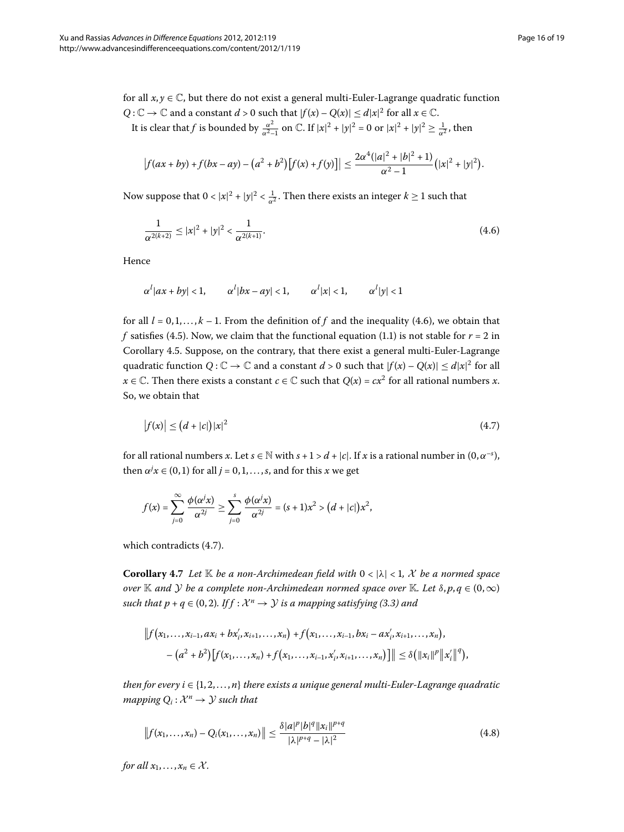for all  $x, y \in \mathbb{C}$ , but there do not exist a general multi-Euler-Lagrange quadratic function  $Q: \mathbb{C} \to \mathbb{C}$  and a constant  $d > 0$  such that  $|f(x) - Q(x)| \le d|x|^2$  for all  $x \in \mathbb{C}$ .

It is clear that *f* is bounded by  $\frac{\alpha^2}{\alpha^2-1}$  on  $\mathbb{C}$ . If  $|x|^2 + |y|^2 = 0$  or  $|x|^2 + |y|^2 \ge \frac{1}{\alpha^2}$ , then

<span id="page-15-0"></span>
$$
\left|f(ax+by)+f(bx-ay)-(a^2+b^2)\left[f(x)+f(y)\right]\right|\leq \frac{2\alpha^4(|a|^2+|b|^2+1)}{\alpha^2-1}(|x|^2+|y|^2).
$$

Now suppose that  $0 < |x|^2 + |y|^2 < \frac{1}{\alpha^2}$ . Then there exists an integer  $k \ge 1$  such that

$$
\frac{1}{\alpha^{2(k+2)}} \le |x|^2 + |y|^2 < \frac{1}{\alpha^{2(k+1)}}.\tag{4.6}
$$

Hence

<span id="page-15-1"></span>
$$
\alpha^l |ax + by| < 1, \qquad \alpha^l |bx - ay| < 1, \qquad \alpha^l |x| < 1, \qquad \alpha^l |y| < 1
$$

for all  $l = 0, 1, \ldots, k - 1$ . From the definition of f and the inequality (4.6), we obtain that *f* satisfies (4[.](#page-14-1)5). Now, we claim that the functional equation (1.1) is not stable for  $r = 2$  in Corollary 4.5. Suppose, on the contrary, that there exist a general multi-Euler-Lagrange quadratic function  $Q: \mathbb{C} \to \mathbb{C}$  and a constant  $d > 0$  such that  $|f(x) - Q(x)| \le d|x|^2$  for all *x* ∈  $\mathbb C$ . Then there exists a constant *c* ∈  $\mathbb C$  such that  $Q(x) = cx^2$  for all rational numbers *x*. So, we obtain that

$$
|f(x)| \le (d+|c|)|x|^2 \tag{4.7}
$$

for all rational numbers *x*. Let  $s \in \mathbb{N}$  with  $s + 1 > d + |c|$ . If *x* is a rational number in  $(0, \alpha^{-s})$ , then  $\alpha^j x \in (0,1)$  for all  $j = 0, 1, ..., s$ , and for this  $x$  we get

$$
f(x)=\sum_{j=0}^{\infty}\frac{\phi(\alpha^jx)}{\alpha^{2j}}\geq \sum_{j=0}^s\frac{\phi(\alpha^jx)}{\alpha^{2j}}=(s+1)x^2>(d+|c|)x^2,
$$

which contradicts  $(4.7)$  $(4.7)$  $(4.7)$ .

**Corollary 4.7** Let  $\mathbb{K}$  be a non-Archimedean field with  $0 < |\lambda| < 1$ , X be a normed space *over* K *and Y be a complete non-Archimedean normed space over* K*. Let*  $\delta$ ,  $p, q \in (0, \infty)$ *such that p* +  $q \in (0, 2)$ *. If f* :  $\mathcal{X}^n \to \mathcal{Y}$  *is a mapping satisfying (3.3) and* 

$$
|| f (x_1,...,x_{i-1},ax_i+bx'_i,x_{i+1},...,x_n)+f (x_1,...,x_{i-1},bx_i-ax'_i,x_{i+1},...,x_n),
$$
  

$$
-(a^2+b^2)[f(x_1,...,x_n)+f(x_1,...,x_{i-1},x'_i,x_{i+1},...,x_n)]|| \leq \delta (||x_i||^p ||x'_i||^q),
$$

*then for every i*  $\in$  {1, 2, ..., *n*} *there exists a unique general multi-Euler-Lagrange quadratic mapping*  $Q_i: \mathcal{X}^n \to \mathcal{Y}$  *such that* 

$$
||f(x_1,...,x_n) - Q_i(x_1,...,x_n)|| \leq \frac{\delta |a|^p |b|^q ||x_i||^{p+q}}{|\lambda|^{p+q} - |\lambda|^2}
$$
\n(4.8)

*for all*  $x_1, \ldots, x_n \in \mathcal{X}$ *.*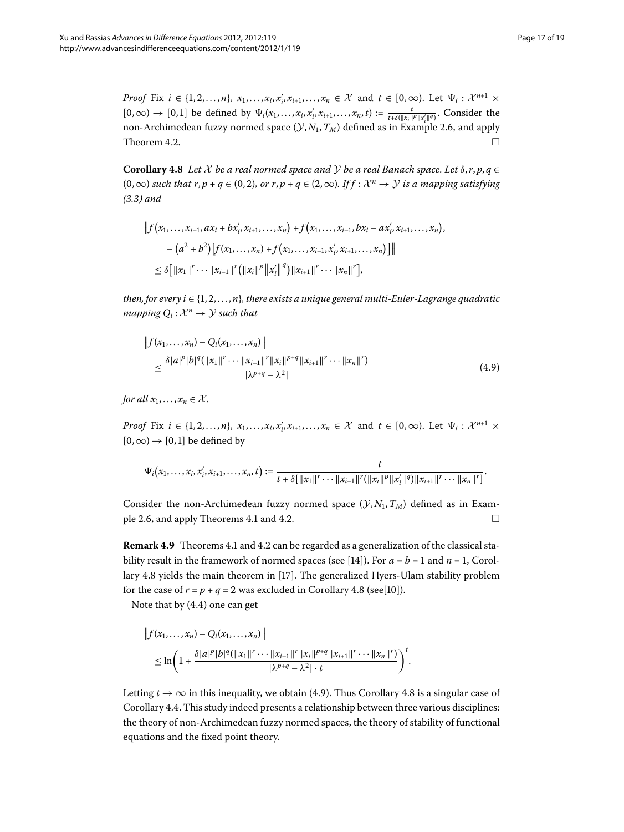<span id="page-16-0"></span>*Proof* Fix  $i \in \{1, 2, ..., n\}$ ,  $x_1, ..., x_i$ ,  $x'_i$ ,  $x_{i+1}, ..., x_n \in \mathcal{X}$  and  $t \in [0, \infty)$ . Let  $\Psi_i : \mathcal{X}^{n+1} \times \mathcal{X}^{n+1}$  $[0,\infty) \to [0,1]$  be defined by  $\Psi_i(x_1,\ldots,x_i,x_i',x_{i+1},\ldots,x_n,t) := \frac{t}{t+\delta(\|x_i\|^p\|x_i'\|^q)}$ . Consider the non-Archimedean fuzzy normed space  $(\mathcal{Y}, N_1, T_M)$  defined as in Example 2.6, and apply Theorem 4.2 Theorem 4[.](#page-13-0)2.

**Corollary 4.8** Let X be a real normed space and Y be a real Banach space. Let  $\delta$ ,  $r$ ,  $p$ ,  $q \in$  $(0, \infty)$  *such that r, p + q* ∈  $(0, 2)$ *, or r, p + q* ∈  $(2, \infty)$ *. If f :*  $\mathcal{X}^n \to \mathcal{Y}$  *is a mapping satisfying ([.\)](#page-5-5) and*

$$
|| f (x_1,...,x_{i-1}, ax_i + bx'_i, x_{i+1},...,x_n) + f (x_1,...,x_{i-1}, bx_i - ax'_i, x_{i+1},...,x_n),
$$
  

$$
- (a^2 + b^2) [f (x_1,...,x_n) + f (x_1,...,x_{i-1}, x'_i, x_{i+1},...,x_n)]||
$$
  

$$
\leq \delta [||x_1||^r \cdots ||x_{i-1}||^r (||x_i||^p ||x'_i||^q) ||x_{i+1}||^r \cdots ||x_n||^r],
$$

<span id="page-16-1"></span>*then, for every i*  $\in \{1, 2, \ldots, n\}$ *, there exists a unique general multi-Euler-Lagrange quadratic mapping*  $Q_i: \mathcal{X}^n \to \mathcal{Y}$  *such that* 

$$
||f(x_1,...,x_n) - Q_i(x_1,...,x_n)||
$$
  
\n
$$
\leq \frac{\delta |a|^p |b|^q (||x_1||^r \cdots ||x_{i-1}||^r ||x_i||^{p+q} ||x_{i+1}||^r \cdots ||x_n||^r)}{|\lambda^{p+q} - \lambda^2|}
$$
\n(4.9)

*for all*  $x_1, \ldots, x_n \in \mathcal{X}$ *.* 

*Proof* Fix  $i \in \{1, 2, ..., n\}$ ,  $x_1, ..., x_i$ ,  $x'_i$ ,  $x_{i+1}, ..., x_n \in \mathcal{X}$  and  $t \in [0, \infty)$ . Let  $\Psi_i : \mathcal{X}^{n+1} \times \mathcal{X}^{n+1}$  $[0, \infty) \rightarrow [0, 1]$  be defined by

$$
\Psi_i(x_1,\ldots,x_i,x_i',x_{i+1},\ldots,x_n,t):=\frac{t}{t+\delta[\|x_1\|^r\cdots\|x_{i-1}\|^r(\|x_i\|^p\|x_i'\|^q)\|x_{i+1}\|^r\cdots\|x_n\|^r]}.
$$

Consider the non-Archimedean fuzzy normed space  $(\mathcal{Y}, N_1, T_M)$  defined as in Exam-ple 2[.](#page-11-2)6, and apply Theorems 4.1 and 4.2.  $\Box$ 

**Remark 4[.](#page-13-0)9** Theorems 4.1 and 4.2 can be regarded as a generalization of the classical stability result in the framework of normed spaces (see [14]). For  $a = b = 1$  and  $n = 1$ , Corol-lary 4.8 yields the main theorem in [17[\]](#page-17-29). The generalized Hyers-Ulam stability problem for the case of  $r = p + q = 2$  was excluded in Corollary 4[.](#page-16-0)8 (see[10]).

Note that by  $(4.4)$  one can get

$$
||f(x_1,...,x_n) - Q_i(x_1,...,x_n)||
$$
  
\n
$$
\leq \ln\left(1 + \frac{\delta|a|^p|b|^q(||x_1||^r \cdots ||x_{i-1}||^r ||x_i||^{p+q}||x_{i+1}||^r \cdots ||x_n||^r)}{|\lambda^{p+q} - \lambda^2| \cdot t}\right)^t.
$$

Letting  $t \to \infty$  in this inequality, we obtain (4[.](#page-16-0)9). Thus Corollary 4.8 is a singular case of Corollary 4[.](#page-13-2)4. This study indeed presents a relationship between three various disciplines: the theory of non-Archimedean fuzzy normed spaces, the theory of stability of functional equations and the fixed point theory.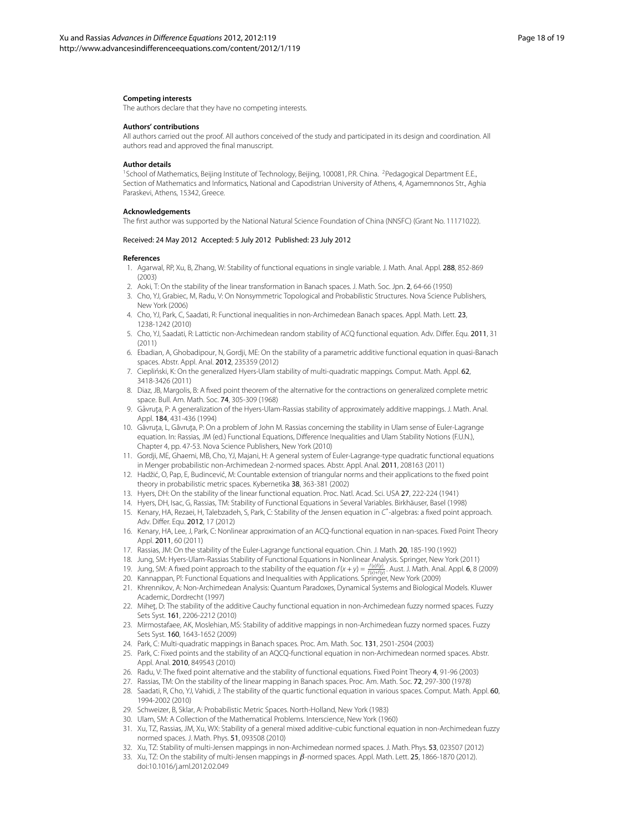#### <span id="page-17-1"></span><span id="page-17-0"></span>**Competing interests**

The authors declare that they have no competing interests.

#### **Authors' contributions**

All authors carried out the proof. All authors conceived of the study and participated in its design and coordination. All authors read and approved the final manuscript.

#### **Author details**

<span id="page-17-7"></span><span id="page-17-4"></span><sup>1</sup>School of Mathematics, Beijing Institute of Technology, Beijing, 100081, P.R. China. <sup>2</sup>Pedagogical Department E.E., Section of Mathematics and Informatics, National and Capodistrian University of Athens, 4, Agamemnonos Str., Aghia Paraskevi, Athens, 15342, Greece.

#### <span id="page-17-22"></span>**Acknowledgements**

<span id="page-17-8"></span>The first author was supported by the National Natural Science Foundation of China (NNSFC) (Grant No. 11171022).

#### Received: 24 May 2012 Accepted: 5 July 2012 Published: 23 July 2012

#### <span id="page-17-9"></span>**References**

- 1. Agarwal, RP, Xu, B, Zhang, W: Stability of functional equations in single variable. J. Math. Anal. Appl. 288, 852-869 (2003)
- 2. Aoki, T: On the stability of the linear transformation in Banach spaces. J. Math. Soc. Jpn. 2, 64-66 (1950)
- <span id="page-17-27"></span>3. Cho, YJ, Grabiec, M, Radu, V: On Nonsymmetric Topological and Probabilistic Structures. Nova Science Publishers, New York (2006)
- <span id="page-17-6"></span>4. Cho, YJ, Park, C, Saadati, R: Functional inequalities in non-Archimedean Banach spaces. Appl. Math. Lett. 23, 1238-1242 (2010)
- <span id="page-17-30"></span>5. Cho, YJ, Saadati, R: Lattictic non-Archimedean random stability of ACQ functional equation. Adv. Differ. Equ. 2011, 31 (2011)
- <span id="page-17-20"></span>6. Ebadian, A, Ghobadipour, N, Gordji, ME: On the stability of a parametric additive functional equation in quasi-Banach spaces. Abstr. Appl. Anal. 2012, 235359 (2012)
- <span id="page-17-26"></span>7. Ciepliński, K: On the generalized Hyers-Ulam stability of multi-quadratic mappings. Comput. Math. Appl. 62, 3418-3426 (2011)
- <span id="page-17-3"></span>8. Diaz, JB, Margolis, B: A fixed point theorem of the alternative for the contractions on generalized complete metric space. Bull. Am. Math. Soc. 74, 305-309 (1968)
- 9. Găvruța, P: A generalization of the Hyers-Ulam-Rassias stability of approximately additive mappings. J. Math. Anal. Appl. 184, 431-436 (1994)
- <span id="page-17-11"></span><span id="page-17-10"></span>10. Găvruța, L, Găvruța, P: On a problem of John M. Rassias concerning the stability in Ulam sense of Euler-Lagrange equation. In: Rassias, JM (ed.) Functional Equations, Difference Inequalities and Ulam Stability Notions (F.U.N.), Chapter 4, pp. 47-53. Nova Science Publishers, New York (2010)
- <span id="page-17-29"></span><span id="page-17-12"></span>11. Gordji, ME, Ghaemi, MB, Cho, YJ, Majani, H: A general system of Euler-Lagrange-type quadratic functional equations in Menger probabilistic non-Archimedean 2-normed spaces. Abstr. Appl. Anal. 2011, 208163 (2011)
- <span id="page-17-28"></span><span id="page-17-13"></span>12. Hadžić, O, Pap, E, Budincević, M; Countable extension of triangular norms and their applications to the fixed point theory in probabilistic metric spaces. Kybernetika 38, 363-381 (2002)
- 13. Hyers, DH: On the stability of the linear functional equation. Proc. Natl. Acad. Sci. USA 27, 222-224 (1941)
- <span id="page-17-24"></span><span id="page-17-14"></span>14. Hyers, DH, Isac, G, Rassias, TM: Stability of Functional Equations in Several Variables. Birkhäuser, Basel (1998)
- 15. Kenary, HA, Rezaei, H, Talebzadeh, S, Park, C: Stability of the Jensen equation in C\* -algebras: a fixed point approach. Adv. Differ. Equ. 2012, 17 (2012)
- <span id="page-17-15"></span>16. Kenary, HA, Lee, J, Park, C: Nonlinear approximation of an ACQ-functional equation in nan-spaces. Fixed Point Theory Appl. 2011, 60 (2011)
- <span id="page-17-21"></span>17. Rassias, JM: On the stability of the Euler-Lagrange functional equation. Chin. J. Math. 20, 185-190 (1992)
- <span id="page-17-16"></span>18. Jung, SM: Hyers-Ulam-Rassias Stability of Functional Equations in Nonlinear Analysis. Springer, New York (2011)
- 19. Jung, SM: A fixed point approach to the stability of the equation  $f(x+y) = \frac{f(x)f(y)}{f(x)+f(y)}$ . Aust. J. Math. Anal. Appl. **6**, 8 (2009)
- <span id="page-17-17"></span>20. Kannappan, Pl: Functional Equations and Inequalities with Applications. Springer, New York (2009)
- <span id="page-17-18"></span><span id="page-17-5"></span>21. Khrennikov, A: Non-Archimedean Analysis: Quantum Paradoxes, Dynamical Systems and Biological Models. Kluwer Academic, Dordrecht (1997)
- <span id="page-17-25"></span>22. Mihet, D: The stability of the additive Cauchy functional equation in non-Archimedean fuzzy normed spaces. Fuzzy Sets Syst. 161, 2206-2212 (2010)
- <span id="page-17-19"></span><span id="page-17-2"></span>23. Mirmostafaee, AK, Moslehian, MS: Stability of additive mappings in non-Archimedean fuzzy normed spaces. Fuzzy Sets Syst. 160, 1643-1652 (2009)
- 24. Park, C: Multi-quadratic mappings in Banach spaces. Proc. Am. Math. Soc. 131, 2501-2504 (2003)
- <span id="page-17-23"></span>25. Park, C: Fixed points and the stability of an AQCQ-functional equation in non-Archimedean normed spaces. Abstr. Appl. Anal. 2010, 849543 (2010)
- 26. Radu, V: The fixed point alternative and the stability of functional equations. Fixed Point Theory 4, 91-96 (2003)
- 27. Rassias, TM: On the stability of the linear mapping in Banach spaces. Proc. Am. Math. Soc. 72, 297-300 (1978)
- 28. Saadati, R, Cho, YJ, Vahidi, J: The stability of the quartic functional equation in various spaces. Comput. Math. Appl. 60, 1994-2002 (2010)
- 29. Schweizer, B, Sklar, A: Probabilistic Metric Spaces. North-Holland, New York (1983)
- 30. Ulam, SM: A Collection of the Mathematical Problems. Interscience, New York (1960)
- 31. Xu, TZ, Rassias, JM, Xu, WX: Stability of a general mixed additive-cubic functional equation in non-Archimedean fuzzy normed spaces. J. Math. Phys. 51, 093508 (2010)
- 32. Xu, TZ: Stability of multi-Jensen mappings in non-Archimedean normed spaces. J. Math. Phys. 53, 023507 (2012)
- 33. Xu, TZ: On the stability of multi-Jensen mappings in *β*-normed spaces. Appl. Math. Lett. 25, 1866-1870 (2012). doi[:10.1016/j.aml.2012.02.049](http://dx.doi.org/10.1016/j.aml.2012.02.049)